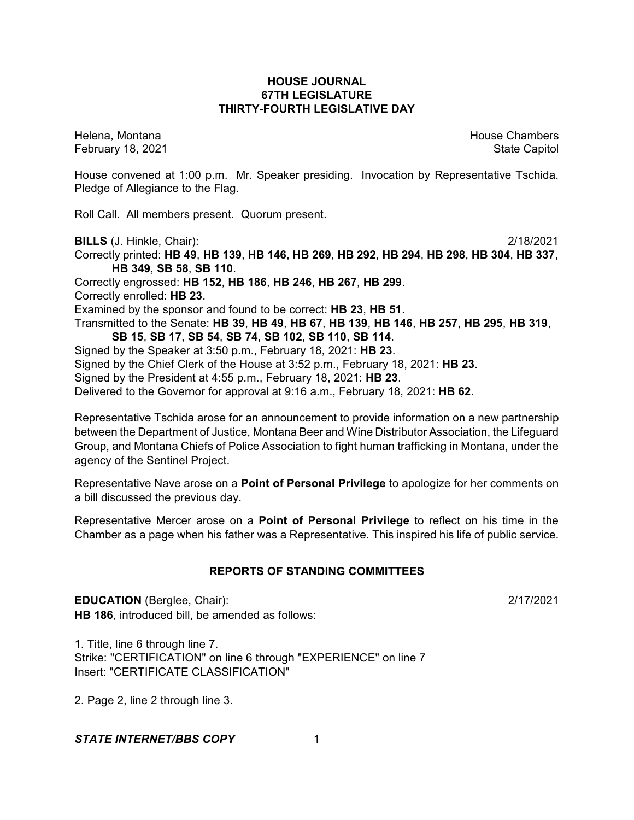## **HOUSE JOURNAL 67TH LEGISLATURE THIRTY-FOURTH LEGISLATIVE DAY**

Helena, Montana House Chambers Chambers Chambers and House Chambers Chambers Chambers Chambers Chambers Chambers February 18, 2021 **State Capitol** 

House convened at 1:00 p.m. Mr. Speaker presiding. Invocation by Representative Tschida. Pledge of Allegiance to the Flag.

Roll Call. All members present. Quorum present.

**BILLS** (J. Hinkle, Chair): 2/18/2021

Correctly printed: **HB 49**, **HB 139**, **HB 146**, **HB 269**, **HB 292**, **HB 294**, **HB 298**, **HB 304**, **HB 337**, **HB 349**, **SB 58**, **SB 110**. Correctly engrossed: **HB 152**, **HB 186**, **HB 246**, **HB 267**, **HB 299**. Correctly enrolled: **HB 23**. Examined by the sponsor and found to be correct: **HB 23**, **HB 51**. Transmitted to the Senate: **HB 39**, **HB 49**, **HB 67**, **HB 139**, **HB 146**, **HB 257**, **HB 295**, **HB 319**, **SB 15**, **SB 17**, **SB 54**, **SB 74**, **SB 102**, **SB 110**, **SB 114**. Signed by the Speaker at 3:50 p.m., February 18, 2021: **HB 23**. Signed by the Chief Clerk of the House at 3:52 p.m., February 18, 2021: **HB 23**.

Signed by the President at 4:55 p.m., February 18, 2021: **HB 23**.

Delivered to the Governor for approval at 9:16 a.m., February 18, 2021: **HB 62**.

Representative Tschida arose for an announcement to provide information on a new partnership between the Department of Justice, Montana Beer and Wine Distributor Association, the Lifeguard Group, and Montana Chiefs of Police Association to fight human trafficking in Montana, under the agency of the Sentinel Project.

Representative Nave arose on a **Point of Personal Privilege** to apologize for her comments on a bill discussed the previous day.

Representative Mercer arose on a **Point of Personal Privilege** to reflect on his time in the Chamber as a page when his father was a Representative. This inspired his life of public service.

# **REPORTS OF STANDING COMMITTEES**

**EDUCATION** (Berglee, Chair): 2/17/2021 **HB 186**, introduced bill, be amended as follows:

1. Title, line 6 through line 7. Strike: "CERTIFICATION" on line 6 through "EXPERIENCE" on line 7 Insert: "CERTIFICATE CLASSIFICATION"

2. Page 2, line 2 through line 3.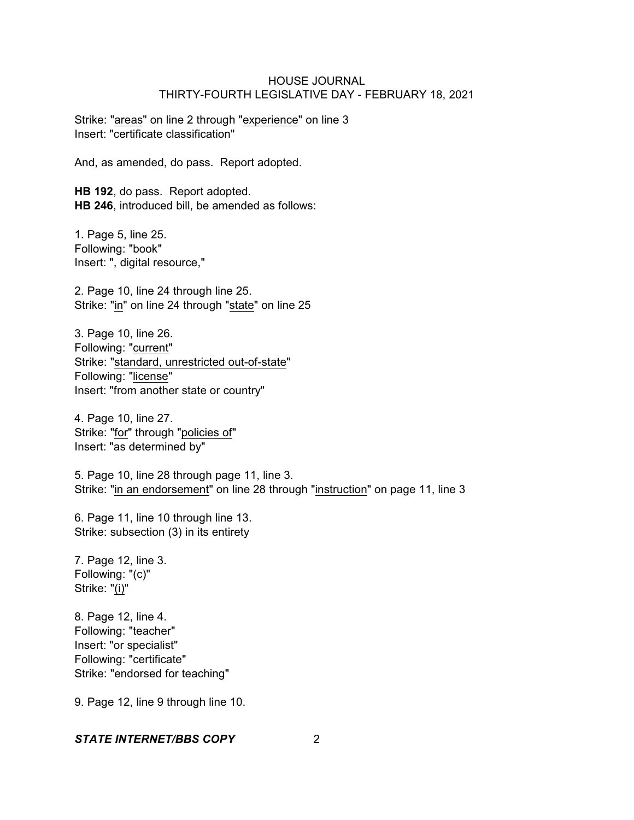Strike: "areas" on line 2 through "experience" on line 3 Insert: "certificate classification"

And, as amended, do pass. Report adopted.

**HB 192**, do pass. Report adopted. **HB 246**, introduced bill, be amended as follows:

1. Page 5, line 25. Following: "book" Insert: ", digital resource,"

2. Page 10, line 24 through line 25. Strike: "in" on line 24 through "state" on line 25

3. Page 10, line 26. Following: "current" Strike: "standard, unrestricted out-of-state" Following: "license" Insert: "from another state or country"

4. Page 10, line 27. Strike: "for" through "policies of" Insert: "as determined by"

5. Page 10, line 28 through page 11, line 3. Strike: "in an endorsement" on line 28 through "instruction" on page 11, line 3

6. Page 11, line 10 through line 13. Strike: subsection (3) in its entirety

7. Page 12, line 3. Following: "(c)" Strike: "(i)"

8. Page 12, line 4. Following: "teacher" Insert: "or specialist" Following: "certificate" Strike: "endorsed for teaching"

9. Page 12, line 9 through line 10.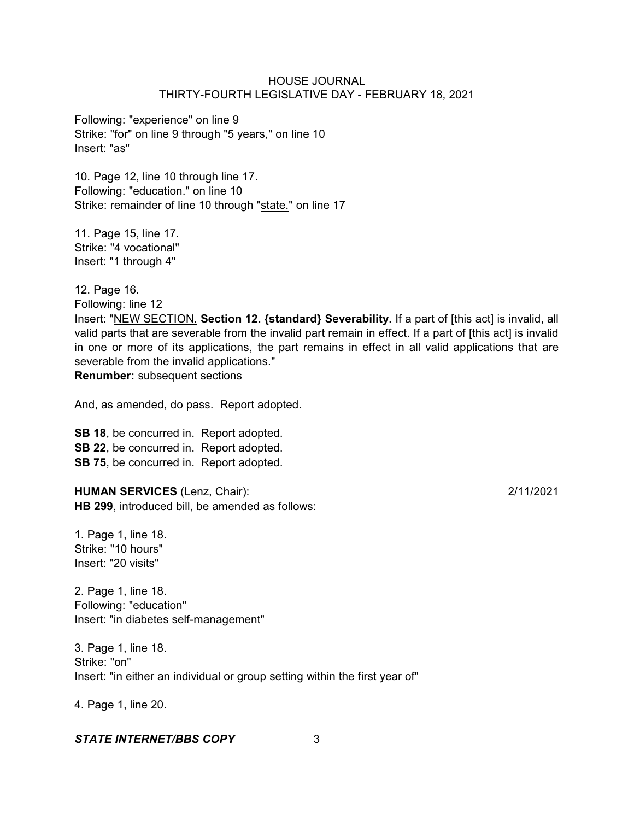Following: "experience" on line 9 Strike: "for" on line 9 through "5 years," on line 10 Insert: "as"

10. Page 12, line 10 through line 17. Following: "education." on line 10 Strike: remainder of line 10 through "state." on line 17

11. Page 15, line 17. Strike: "4 vocational" Insert: "1 through 4"

12. Page 16.

Following: line 12

Insert: "NEW SECTION. **Section 12. {standard} Severability.** If a part of [this act] is invalid, all valid parts that are severable from the invalid part remain in effect. If a part of [this act] is invalid in one or more of its applications, the part remains in effect in all valid applications that are severable from the invalid applications."

**Renumber:** subsequent sections

And, as amended, do pass. Report adopted.

**SB 18**, be concurred in. Report adopted. **SB 22**, be concurred in. Report adopted. **SB 75**, be concurred in. Report adopted.

**HUMAN SERVICES** (Lenz, Chair): 2/11/2021 **HB 299**, introduced bill, be amended as follows:

1. Page 1, line 18. Strike: "10 hours" Insert: "20 visits"

2. Page 1, line 18. Following: "education" Insert: "in diabetes self-management"

3. Page 1, line 18. Strike: "on" Insert: "in either an individual or group setting within the first year of"

4. Page 1, line 20.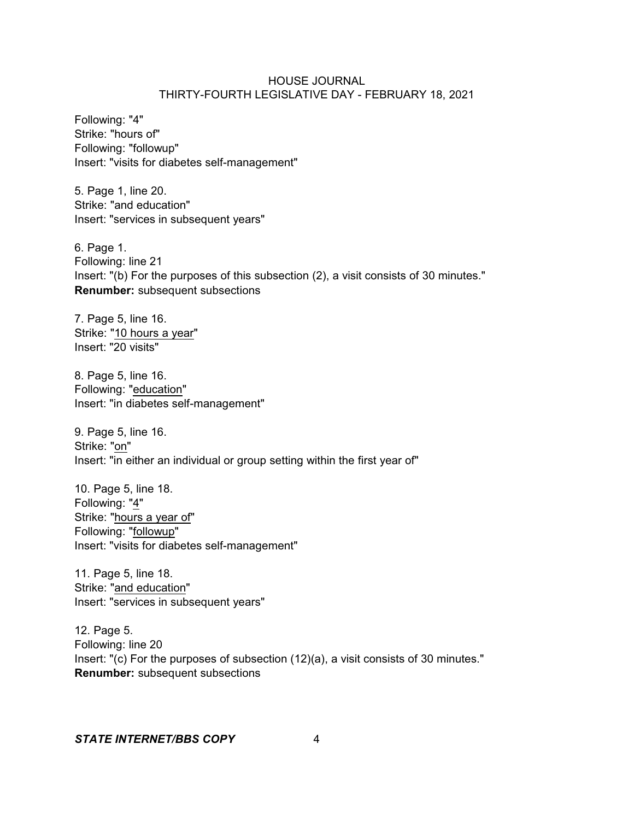Following: "4" Strike: "hours of" Following: "followup" Insert: "visits for diabetes self-management"

5. Page 1, line 20. Strike: "and education" Insert: "services in subsequent years"

6. Page 1. Following: line 21 Insert: "(b) For the purposes of this subsection (2), a visit consists of 30 minutes." **Renumber:** subsequent subsections

7. Page 5, line 16. Strike: "10 hours a year" Insert: "20 visits"

8. Page 5, line 16. Following: "education" Insert: "in diabetes self-management"

9. Page 5, line 16. Strike: "on" Insert: "in either an individual or group setting within the first year of"

10. Page 5, line 18. Following: "4" Strike: "hours a year of" Following: "followup" Insert: "visits for diabetes self-management"

11. Page 5, line 18. Strike: "and education" Insert: "services in subsequent years"

12. Page 5. Following: line 20 Insert: "(c) For the purposes of subsection (12)(a), a visit consists of 30 minutes." **Renumber:** subsequent subsections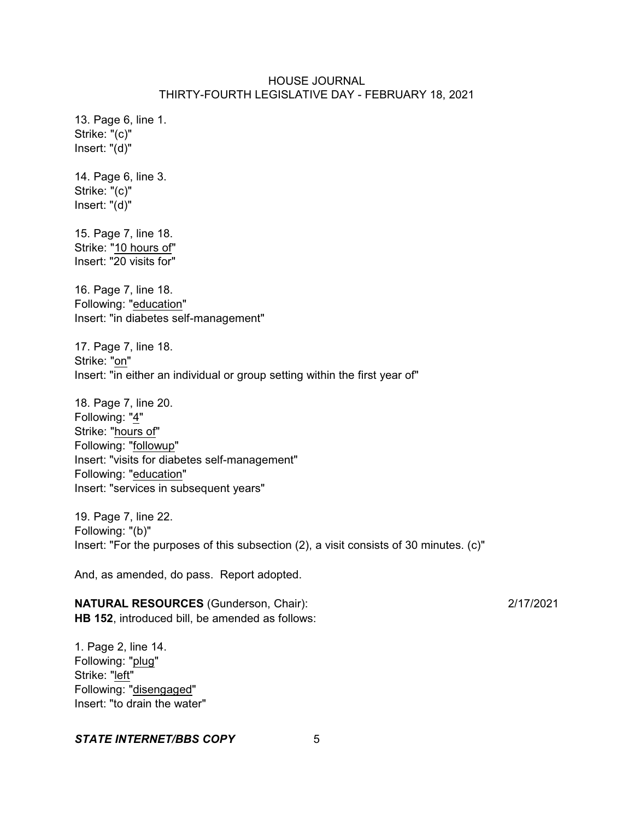13. Page 6, line 1. Strike: "(c)" Insert: "(d)"

14. Page 6, line 3. Strike: "(c)" Insert: "(d)"

15. Page 7, line 18. Strike: "10 hours of" Insert: "20 visits for"

16. Page 7, line 18. Following: "education" Insert: "in diabetes self-management"

17. Page 7, line 18. Strike: "on" Insert: "in either an individual or group setting within the first year of"

18. Page 7, line 20. Following: "4" Strike: "hours of" Following: "followup" Insert: "visits for diabetes self-management" Following: "education" Insert: "services in subsequent years"

19. Page 7, line 22. Following: "(b)" Insert: "For the purposes of this subsection (2), a visit consists of 30 minutes. (c)"

And, as amended, do pass. Report adopted.

**NATURAL RESOURCES** (Gunderson, Chair): 2/17/2021 **HB 152**, introduced bill, be amended as follows:

1. Page 2, line 14. Following: "plug" Strike: "left" Following: "disengaged" Insert: "to drain the water"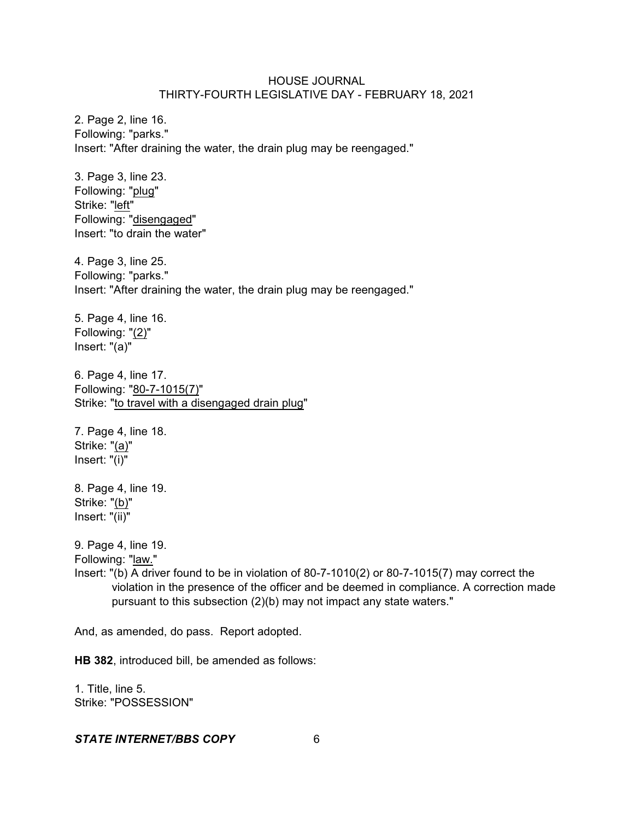2. Page 2, line 16. Following: "parks." Insert: "After draining the water, the drain plug may be reengaged."

3. Page 3, line 23. Following: "plug" Strike: "left" Following: "disengaged" Insert: "to drain the water"

4. Page 3, line 25. Following: "parks." Insert: "After draining the water, the drain plug may be reengaged."

5. Page 4, line 16. Following: "(2)" Insert: "(a)"

6. Page 4, line 17. Following: "80-7-1015(7)" Strike: "to travel with a disengaged drain plug"

7. Page 4, line 18. Strike: "(a)" Insert: "(i)"

8. Page 4, line 19. Strike: "(b)" Insert: "(ii)"

9. Page 4, line 19.

Following: "law."

Insert: "(b) A driver found to be in violation of 80-7-1010(2) or 80-7-1015(7) may correct the violation in the presence of the officer and be deemed in compliance. A correction made pursuant to this subsection (2)(b) may not impact any state waters."

And, as amended, do pass. Report adopted.

**HB 382**, introduced bill, be amended as follows:

1. Title, line 5. Strike: "POSSESSION"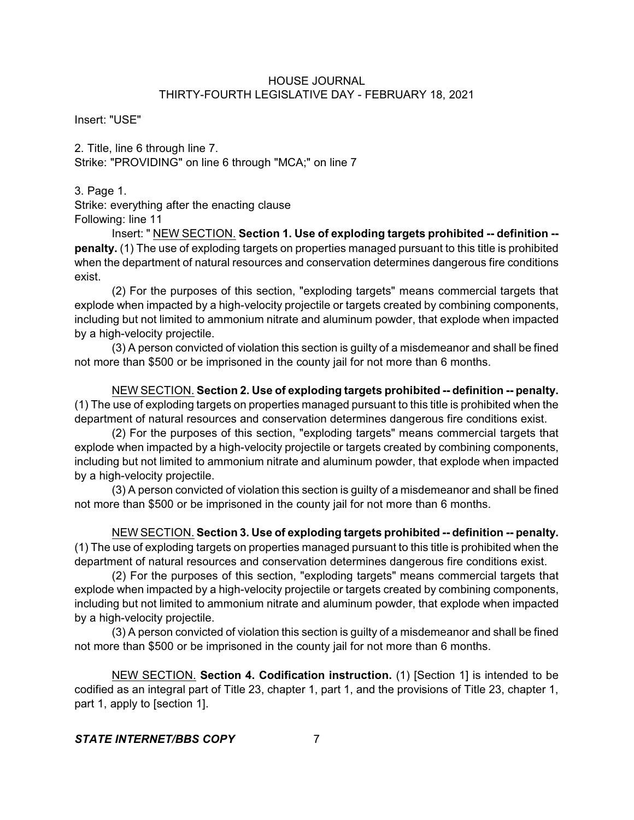Insert: "USE"

2. Title, line 6 through line 7. Strike: "PROVIDING" on line 6 through "MCA;" on line 7

3. Page 1.

Strike: everything after the enacting clause Following: line 11

Insert: " NEW SECTION. **Section 1. Use of exploding targets prohibited -- definition - penalty.** (1) The use of exploding targets on properties managed pursuant to this title is prohibited when the department of natural resources and conservation determines dangerous fire conditions exist.

(2) For the purposes of this section, "exploding targets" means commercial targets that explode when impacted by a high-velocity projectile or targets created by combining components, including but not limited to ammonium nitrate and aluminum powder, that explode when impacted by a high-velocity projectile.

(3) A person convicted of violation this section is guilty of a misdemeanor and shall be fined not more than \$500 or be imprisoned in the county jail for not more than 6 months.

NEW SECTION. **Section 2. Use of exploding targets prohibited -- definition -- penalty.** (1) The use of exploding targets on properties managed pursuant to this title is prohibited when the department of natural resources and conservation determines dangerous fire conditions exist.

(2) For the purposes of this section, "exploding targets" means commercial targets that explode when impacted by a high-velocity projectile or targets created by combining components, including but not limited to ammonium nitrate and aluminum powder, that explode when impacted by a high-velocity projectile.

(3) A person convicted of violation this section is guilty of a misdemeanor and shall be fined not more than \$500 or be imprisoned in the county jail for not more than 6 months.

NEW SECTION. **Section 3. Use of exploding targets prohibited -- definition -- penalty.** (1) The use of exploding targets on properties managed pursuant to this title is prohibited when the department of natural resources and conservation determines dangerous fire conditions exist.

(2) For the purposes of this section, "exploding targets" means commercial targets that explode when impacted by a high-velocity projectile or targets created by combining components, including but not limited to ammonium nitrate and aluminum powder, that explode when impacted by a high-velocity projectile.

(3) A person convicted of violation this section is guilty of a misdemeanor and shall be fined not more than \$500 or be imprisoned in the county jail for not more than 6 months.

NEW SECTION. **Section 4. Codification instruction.** (1) [Section 1] is intended to be codified as an integral part of Title 23, chapter 1, part 1, and the provisions of Title 23, chapter 1, part 1, apply to [section 1].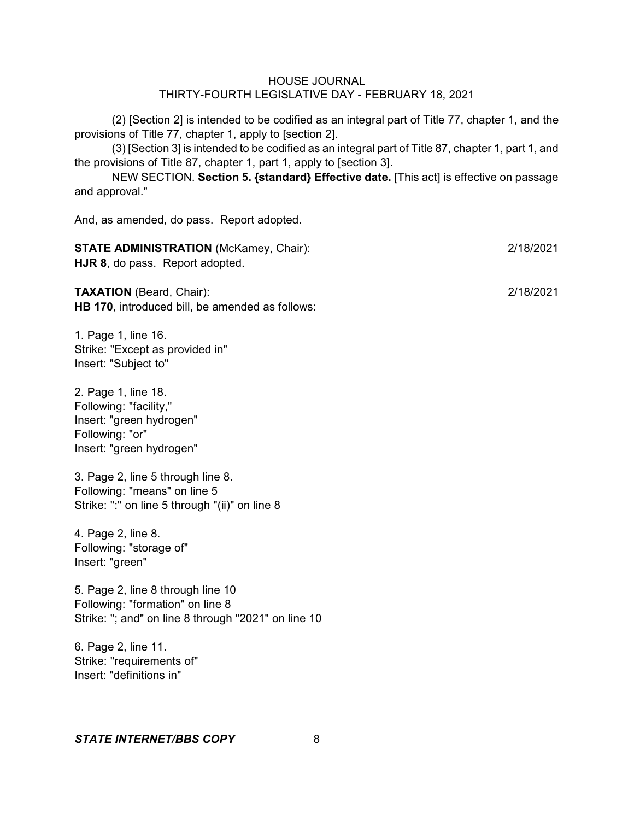(2) [Section 2] is intended to be codified as an integral part of Title 77, chapter 1, and the provisions of Title 77, chapter 1, apply to [section 2].

(3) [Section 3] is intended to be codified as an integral part of Title 87, chapter 1, part 1, and the provisions of Title 87, chapter 1, part 1, apply to [section 3].

NEW SECTION. **Section 5. {standard} Effective date.** [This act] is effective on passage and approval."

And, as amended, do pass. Report adopted.

| <b>STATE ADMINISTRATION (McKamey, Chair):</b> | 2/18/2021                              |  |
|-----------------------------------------------|----------------------------------------|--|
|                                               | <b>HJR 8, do pass. Report adopted.</b> |  |
|                                               |                                        |  |

**TAXATION** (Beard, Chair): 2/18/2021 **HB 170**, introduced bill, be amended as follows:

1. Page 1, line 16. Strike: "Except as provided in" Insert: "Subject to"

2. Page 1, line 18. Following: "facility," Insert: "green hydrogen" Following: "or" Insert: "green hydrogen"

3. Page 2, line 5 through line 8. Following: "means" on line 5 Strike: ":" on line 5 through "(ii)" on line 8

4. Page 2, line 8. Following: "storage of" Insert: "green"

5. Page 2, line 8 through line 10 Following: "formation" on line 8 Strike: "; and" on line 8 through "2021" on line 10

6. Page 2, line 11. Strike: "requirements of" Insert: "definitions in"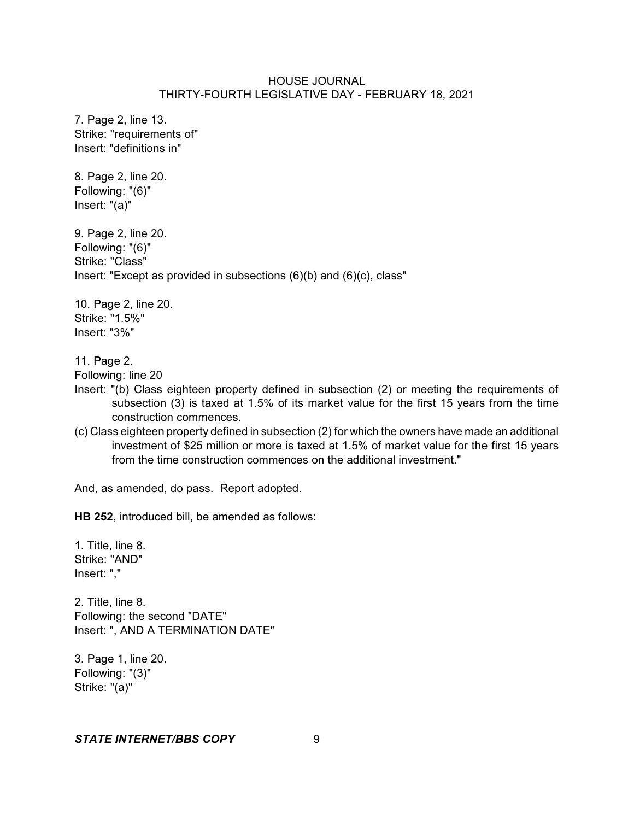7. Page 2, line 13. Strike: "requirements of" Insert: "definitions in"

8. Page 2, line 20. Following: "(6)" Insert: "(a)"

9. Page 2, line 20. Following: "(6)" Strike: "Class" Insert: "Except as provided in subsections (6)(b) and (6)(c), class"

10. Page 2, line 20. Strike: "1.5%" Insert: "3%"

11. Page 2.

Following: line 20

- Insert: "(b) Class eighteen property defined in subsection (2) or meeting the requirements of subsection (3) is taxed at 1.5% of its market value for the first 15 years from the time construction commences.
- (c) Class eighteen property defined in subsection (2) for which the owners have made an additional investment of \$25 million or more is taxed at 1.5% of market value for the first 15 years from the time construction commences on the additional investment."

And, as amended, do pass. Report adopted.

**HB 252**, introduced bill, be amended as follows:

1. Title, line 8. Strike: "AND" Insert: ","

2. Title, line 8. Following: the second "DATE" Insert: ", AND A TERMINATION DATE"

3. Page 1, line 20. Following: "(3)" Strike: "(a)"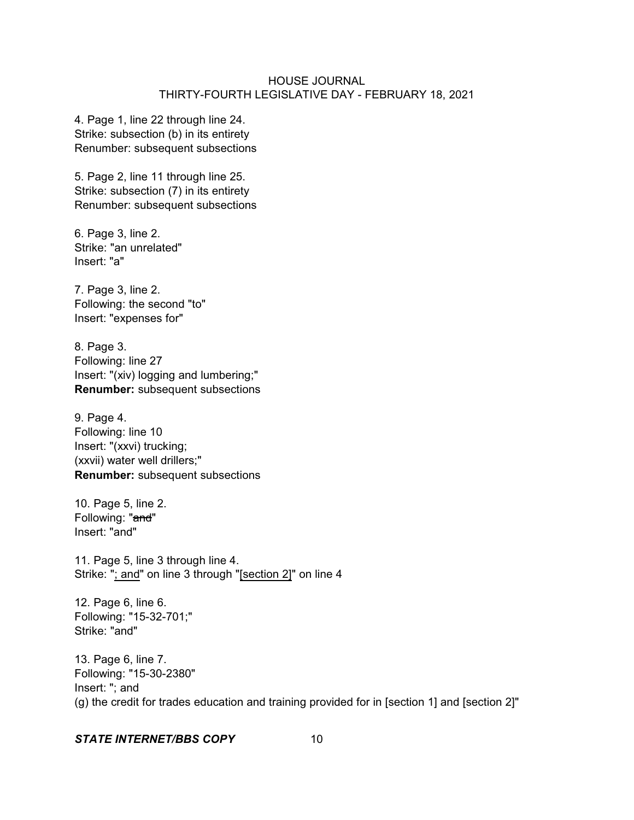4. Page 1, line 22 through line 24. Strike: subsection (b) in its entirety Renumber: subsequent subsections

5. Page 2, line 11 through line 25. Strike: subsection (7) in its entirety Renumber: subsequent subsections

6. Page 3, line 2. Strike: "an unrelated" Insert: "a"

7. Page 3, line 2. Following: the second "to" Insert: "expenses for"

8. Page 3. Following: line 27 Insert: "(xiv) logging and lumbering;" **Renumber:** subsequent subsections

9. Page 4. Following: line 10 Insert: "(xxvi) trucking; (xxvii) water well drillers;" **Renumber:** subsequent subsections

10. Page 5, line 2. Following: "and" Insert: "and"

11. Page 5, line 3 through line 4. Strike: "; and" on line 3 through "[section 2]" on line 4

12. Page 6, line 6. Following: "15-32-701;" Strike: "and"

13. Page 6, line 7. Following: "15-30-2380" Insert: "; and (g) the credit for trades education and training provided for in [section 1] and [section 2]"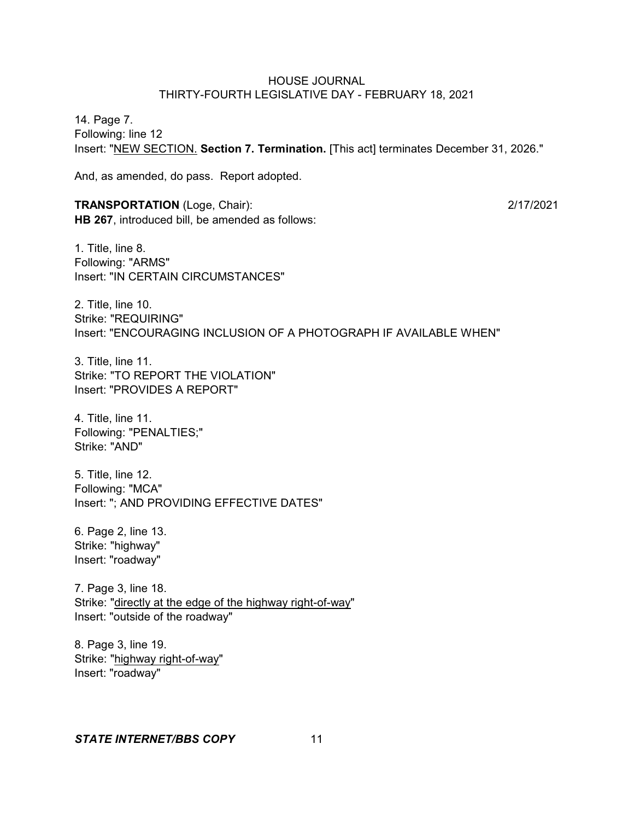14. Page 7. Following: line 12 Insert: "NEW SECTION. **Section 7. Termination.** [This act] terminates December 31, 2026."

And, as amended, do pass. Report adopted.

## **TRANSPORTATION** (Loge, Chair): 2/17/2021 **HB 267**, introduced bill, be amended as follows:

1. Title, line 8. Following: "ARMS" Insert: "IN CERTAIN CIRCUMSTANCES"

2. Title, line 10. Strike: "REQUIRING" Insert: "ENCOURAGING INCLUSION OF A PHOTOGRAPH IF AVAILABLE WHEN"

3. Title, line 11. Strike: "TO REPORT THE VIOLATION" Insert: "PROVIDES A REPORT"

4. Title, line 11. Following: "PENALTIES;" Strike: "AND"

5. Title, line 12. Following: "MCA" Insert: "; AND PROVIDING EFFECTIVE DATES"

6. Page 2, line 13. Strike: "highway" Insert: "roadway"

7. Page 3, line 18. Strike: "directly at the edge of the highway right-of-way" Insert: "outside of the roadway"

8. Page 3, line 19. Strike: "highway right-of-way" Insert: "roadway"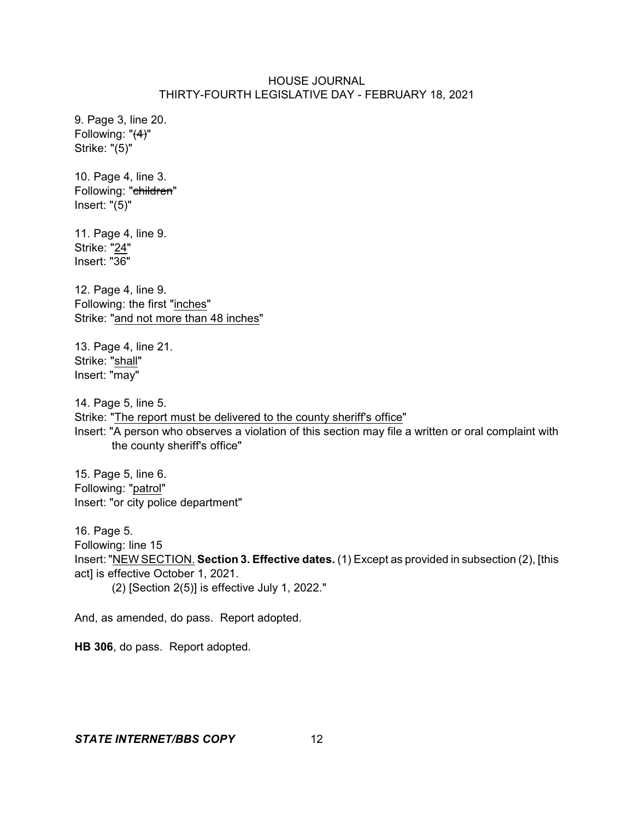9. Page 3, line 20. Following: "(4)" Strike: "(5)"

10. Page 4, line 3. Following: "children" Insert: "(5)"

11. Page 4, line 9. Strike: "24" Insert: "36"

12. Page 4, line 9. Following: the first "inches" Strike: "and not more than 48 inches"

13. Page 4, line 21. Strike: "shall" Insert: "may"

14. Page 5, line 5. Strike: "The report must be delivered to the county sheriff's office" Insert: "A person who observes a violation of this section may file a written or oral complaint with the county sheriff's office"

15. Page 5, line 6. Following: "patrol" Insert: "or city police department"

16. Page 5. Following: line 15 Insert: "NEW SECTION. **Section 3. Effective dates.** (1) Except as provided in subsection (2), [this act] is effective October 1, 2021. (2) [Section 2(5)] is effective July 1, 2022."

And, as amended, do pass. Report adopted.

**HB 306**, do pass. Report adopted.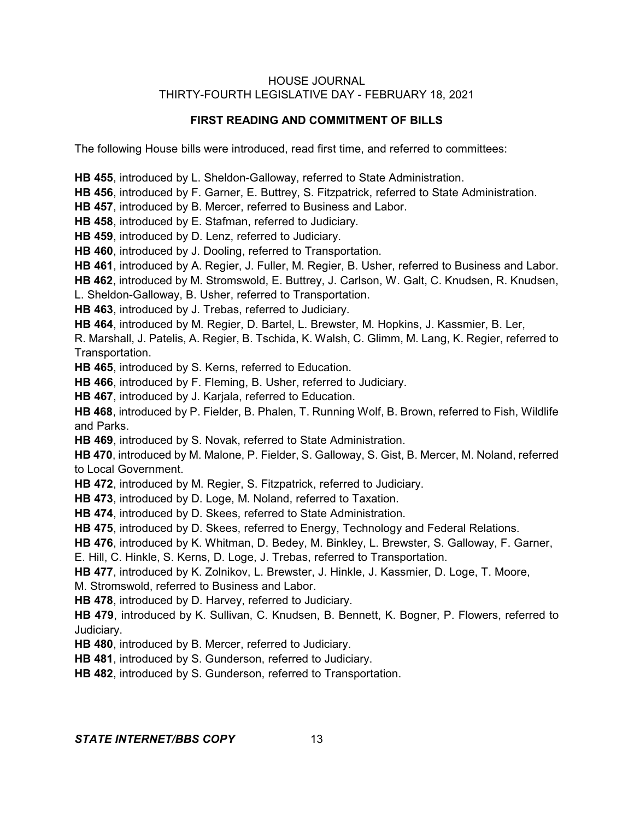## **FIRST READING AND COMMITMENT OF BILLS**

The following House bills were introduced, read first time, and referred to committees:

**HB 455**, introduced by L. Sheldon-Galloway, referred to State Administration. **HB 456**, introduced by F. Garner, E. Buttrey, S. Fitzpatrick, referred to State Administration. **HB 457**, introduced by B. Mercer, referred to Business and Labor. **HB 458**, introduced by E. Stafman, referred to Judiciary. **HB 459**, introduced by D. Lenz, referred to Judiciary. **HB 460**, introduced by J. Dooling, referred to Transportation. **HB 461**, introduced by A. Regier, J. Fuller, M. Regier, B. Usher, referred to Business and Labor. **HB 462**, introduced by M. Stromswold, E. Buttrey, J. Carlson, W. Galt, C. Knudsen, R. Knudsen, L. Sheldon-Galloway, B. Usher, referred to Transportation. **HB 463**, introduced by J. Trebas, referred to Judiciary. **HB 464**, introduced by M. Regier, D. Bartel, L. Brewster, M. Hopkins, J. Kassmier, B. Ler, R. Marshall, J. Patelis, A. Regier, B. Tschida, K. Walsh, C. Glimm, M. Lang, K. Regier, referred to Transportation. **HB 465**, introduced by S. Kerns, referred to Education. **HB 466**, introduced by F. Fleming, B. Usher, referred to Judiciary. **HB 467**, introduced by J. Karjala, referred to Education. **HB 468**, introduced by P. Fielder, B. Phalen, T. Running Wolf, B. Brown, referred to Fish, Wildlife and Parks. **HB 469**, introduced by S. Novak, referred to State Administration. **HB 470**, introduced by M. Malone, P. Fielder, S. Galloway, S. Gist, B. Mercer, M. Noland, referred to Local Government. **HB 472**, introduced by M. Regier, S. Fitzpatrick, referred to Judiciary. **HB 473**, introduced by D. Loge, M. Noland, referred to Taxation. **HB 474**, introduced by D. Skees, referred to State Administration. **HB 475**, introduced by D. Skees, referred to Energy, Technology and Federal Relations. **HB 476**, introduced by K. Whitman, D. Bedey, M. Binkley, L. Brewster, S. Galloway, F. Garner, E. Hill, C. Hinkle, S. Kerns, D. Loge, J. Trebas, referred to Transportation. **HB 477**, introduced by K. Zolnikov, L. Brewster, J. Hinkle, J. Kassmier, D. Loge, T. Moore, M. Stromswold, referred to Business and Labor. **HB 478**, introduced by D. Harvey, referred to Judiciary. **HB 479**, introduced by K. Sullivan, C. Knudsen, B. Bennett, K. Bogner, P. Flowers, referred to Judiciary. **HB 480**, introduced by B. Mercer, referred to Judiciary. **HB 481**, introduced by S. Gunderson, referred to Judiciary.

**HB 482**, introduced by S. Gunderson, referred to Transportation.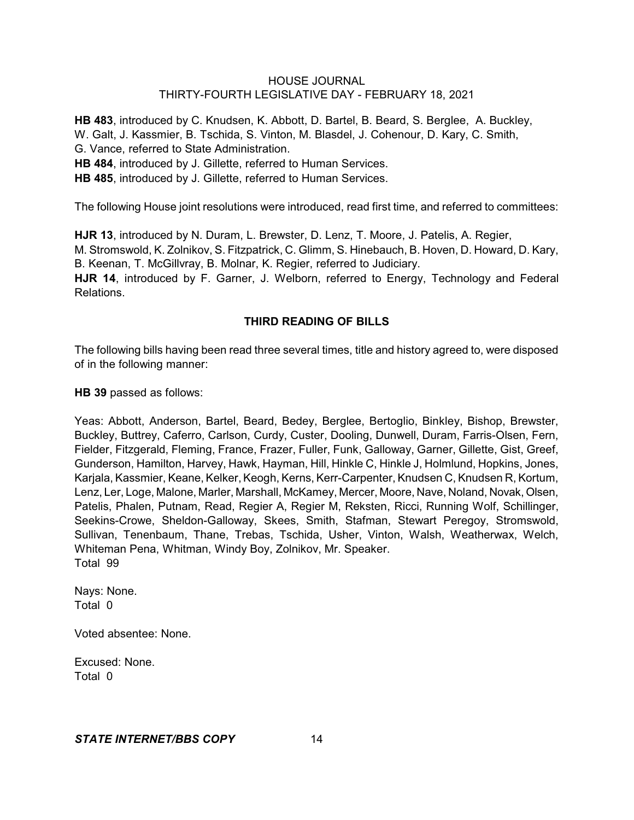**HB 483**, introduced by C. Knudsen, K. Abbott, D. Bartel, B. Beard, S. Berglee, A. Buckley, W. Galt, J. Kassmier, B. Tschida, S. Vinton, M. Blasdel, J. Cohenour, D. Kary, C. Smith, G. Vance, referred to State Administration. **HB 484**, introduced by J. Gillette, referred to Human Services. **HB 485**, introduced by J. Gillette, referred to Human Services.

The following House joint resolutions were introduced, read first time, and referred to committees:

**HJR 13**, introduced by N. Duram, L. Brewster, D. Lenz, T. Moore, J. Patelis, A. Regier, M. Stromswold, K. Zolnikov, S. Fitzpatrick, C. Glimm, S. Hinebauch, B. Hoven, D. Howard, D. Kary, B. Keenan, T. McGillvray, B. Molnar, K. Regier, referred to Judiciary. **HJR 14**, introduced by F. Garner, J. Welborn, referred to Energy, Technology and Federal Relations.

# **THIRD READING OF BILLS**

The following bills having been read three several times, title and history agreed to, were disposed of in the following manner:

**HB 39** passed as follows:

Yeas: Abbott, Anderson, Bartel, Beard, Bedey, Berglee, Bertoglio, Binkley, Bishop, Brewster, Buckley, Buttrey, Caferro, Carlson, Curdy, Custer, Dooling, Dunwell, Duram, Farris-Olsen, Fern, Fielder, Fitzgerald, Fleming, France, Frazer, Fuller, Funk, Galloway, Garner, Gillette, Gist, Greef, Gunderson, Hamilton, Harvey, Hawk, Hayman, Hill, Hinkle C, Hinkle J, Holmlund, Hopkins, Jones, Karjala, Kassmier, Keane, Kelker, Keogh, Kerns, Kerr-Carpenter, Knudsen C, Knudsen R, Kortum, Lenz, Ler, Loge, Malone, Marler, Marshall, McKamey, Mercer, Moore, Nave, Noland, Novak, Olsen, Patelis, Phalen, Putnam, Read, Regier A, Regier M, Reksten, Ricci, Running Wolf, Schillinger, Seekins-Crowe, Sheldon-Galloway, Skees, Smith, Stafman, Stewart Peregoy, Stromswold, Sullivan, Tenenbaum, Thane, Trebas, Tschida, Usher, Vinton, Walsh, Weatherwax, Welch, Whiteman Pena, Whitman, Windy Boy, Zolnikov, Mr. Speaker. Total 99

Nays: None. Total 0

Voted absentee: None.

Excused: None. Total 0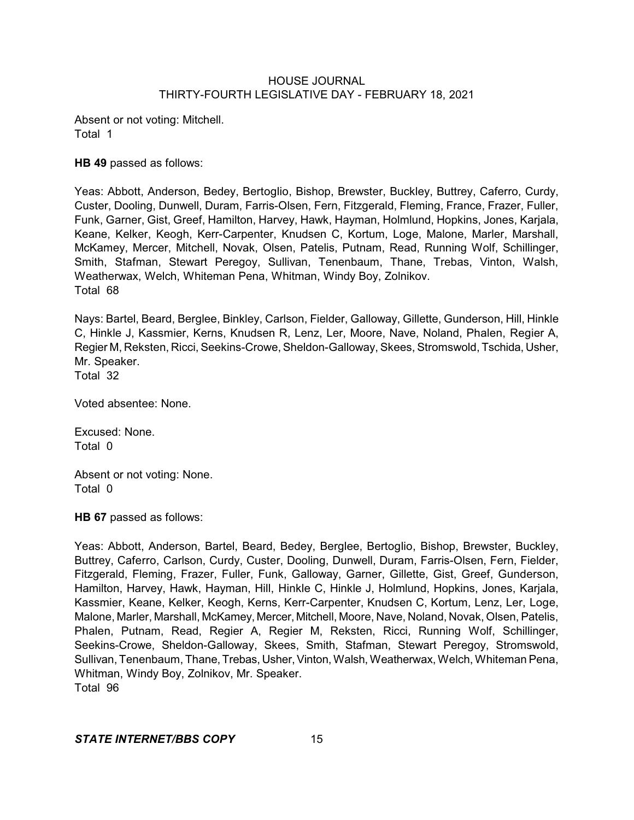Absent or not voting: Mitchell. Total 1

**HB 49** passed as follows:

Yeas: Abbott, Anderson, Bedey, Bertoglio, Bishop, Brewster, Buckley, Buttrey, Caferro, Curdy, Custer, Dooling, Dunwell, Duram, Farris-Olsen, Fern, Fitzgerald, Fleming, France, Frazer, Fuller, Funk, Garner, Gist, Greef, Hamilton, Harvey, Hawk, Hayman, Holmlund, Hopkins, Jones, Karjala, Keane, Kelker, Keogh, Kerr-Carpenter, Knudsen C, Kortum, Loge, Malone, Marler, Marshall, McKamey, Mercer, Mitchell, Novak, Olsen, Patelis, Putnam, Read, Running Wolf, Schillinger, Smith, Stafman, Stewart Peregoy, Sullivan, Tenenbaum, Thane, Trebas, Vinton, Walsh, Weatherwax, Welch, Whiteman Pena, Whitman, Windy Boy, Zolnikov. Total 68

Nays: Bartel, Beard, Berglee, Binkley, Carlson, Fielder, Galloway, Gillette, Gunderson, Hill, Hinkle C, Hinkle J, Kassmier, Kerns, Knudsen R, Lenz, Ler, Moore, Nave, Noland, Phalen, Regier A, Regier M, Reksten, Ricci, Seekins-Crowe, Sheldon-Galloway, Skees, Stromswold, Tschida, Usher, Mr. Speaker. Total 32

Voted absentee: None.

Excused: None. Total 0

Absent or not voting: None. Total 0

**HB 67** passed as follows:

Yeas: Abbott, Anderson, Bartel, Beard, Bedey, Berglee, Bertoglio, Bishop, Brewster, Buckley, Buttrey, Caferro, Carlson, Curdy, Custer, Dooling, Dunwell, Duram, Farris-Olsen, Fern, Fielder, Fitzgerald, Fleming, Frazer, Fuller, Funk, Galloway, Garner, Gillette, Gist, Greef, Gunderson, Hamilton, Harvey, Hawk, Hayman, Hill, Hinkle C, Hinkle J, Holmlund, Hopkins, Jones, Karjala, Kassmier, Keane, Kelker, Keogh, Kerns, Kerr-Carpenter, Knudsen C, Kortum, Lenz, Ler, Loge, Malone, Marler, Marshall, McKamey, Mercer, Mitchell, Moore, Nave, Noland, Novak, Olsen, Patelis, Phalen, Putnam, Read, Regier A, Regier M, Reksten, Ricci, Running Wolf, Schillinger, Seekins-Crowe, Sheldon-Galloway, Skees, Smith, Stafman, Stewart Peregoy, Stromswold, Sullivan, Tenenbaum, Thane, Trebas, Usher,Vinton, Walsh, Weatherwax, Welch, Whiteman Pena, Whitman, Windy Boy, Zolnikov, Mr. Speaker. Total 96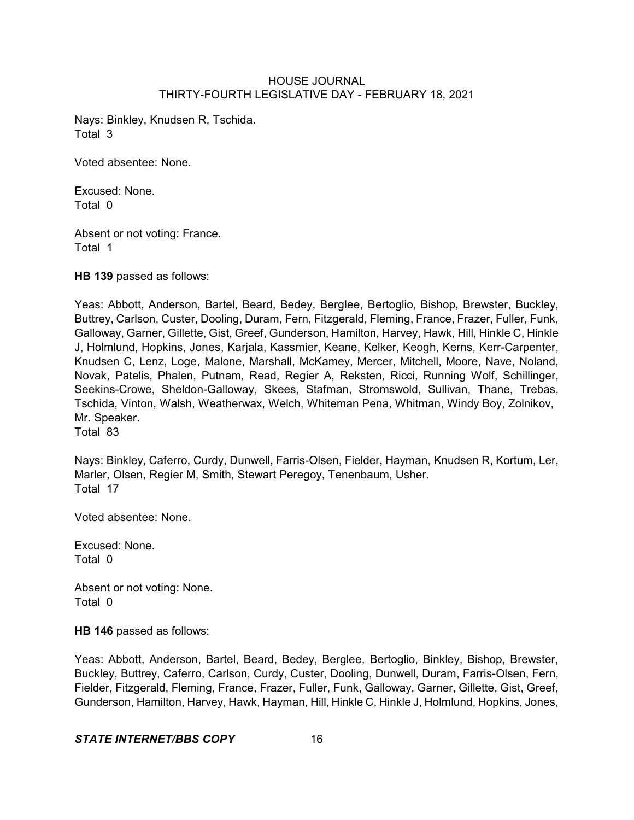Nays: Binkley, Knudsen R, Tschida. Total 3

Voted absentee: None.

Excused: None. Total 0

Absent or not voting: France. Total 1

**HB 139** passed as follows:

Yeas: Abbott, Anderson, Bartel, Beard, Bedey, Berglee, Bertoglio, Bishop, Brewster, Buckley, Buttrey, Carlson, Custer, Dooling, Duram, Fern, Fitzgerald, Fleming, France, Frazer, Fuller, Funk, Galloway, Garner, Gillette, Gist, Greef, Gunderson, Hamilton, Harvey, Hawk, Hill, Hinkle C, Hinkle J, Holmlund, Hopkins, Jones, Karjala, Kassmier, Keane, Kelker, Keogh, Kerns, Kerr-Carpenter, Knudsen C, Lenz, Loge, Malone, Marshall, McKamey, Mercer, Mitchell, Moore, Nave, Noland, Novak, Patelis, Phalen, Putnam, Read, Regier A, Reksten, Ricci, Running Wolf, Schillinger, Seekins-Crowe, Sheldon-Galloway, Skees, Stafman, Stromswold, Sullivan, Thane, Trebas, Tschida, Vinton, Walsh, Weatherwax, Welch, Whiteman Pena, Whitman, Windy Boy, Zolnikov, Mr. Speaker. Total 83

Nays: Binkley, Caferro, Curdy, Dunwell, Farris-Olsen, Fielder, Hayman, Knudsen R, Kortum, Ler, Marler, Olsen, Regier M, Smith, Stewart Peregoy, Tenenbaum, Usher. Total 17

Voted absentee: None.

Excused: None. Total 0

Absent or not voting: None. Total 0

**HB 146** passed as follows:

Yeas: Abbott, Anderson, Bartel, Beard, Bedey, Berglee, Bertoglio, Binkley, Bishop, Brewster, Buckley, Buttrey, Caferro, Carlson, Curdy, Custer, Dooling, Dunwell, Duram, Farris-Olsen, Fern, Fielder, Fitzgerald, Fleming, France, Frazer, Fuller, Funk, Galloway, Garner, Gillette, Gist, Greef, Gunderson, Hamilton, Harvey, Hawk, Hayman, Hill, Hinkle C, Hinkle J, Holmlund, Hopkins, Jones,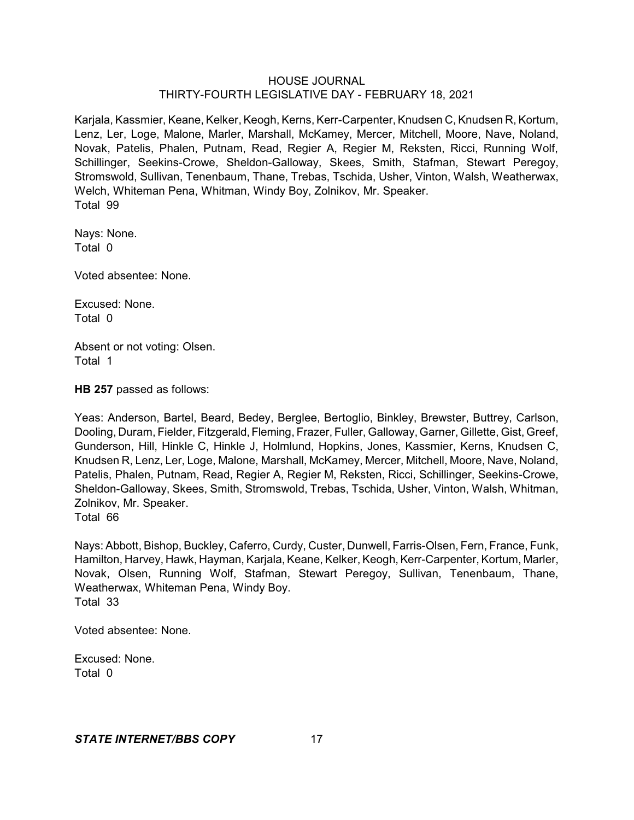Karjala, Kassmier, Keane, Kelker, Keogh, Kerns, Kerr-Carpenter, Knudsen C, Knudsen R, Kortum, Lenz, Ler, Loge, Malone, Marler, Marshall, McKamey, Mercer, Mitchell, Moore, Nave, Noland, Novak, Patelis, Phalen, Putnam, Read, Regier A, Regier M, Reksten, Ricci, Running Wolf, Schillinger, Seekins-Crowe, Sheldon-Galloway, Skees, Smith, Stafman, Stewart Peregoy, Stromswold, Sullivan, Tenenbaum, Thane, Trebas, Tschida, Usher, Vinton, Walsh, Weatherwax, Welch, Whiteman Pena, Whitman, Windy Boy, Zolnikov, Mr. Speaker. Total 99

Nays: None. Total 0

Voted absentee: None.

Excused: None. Total 0

Absent or not voting: Olsen. Total 1

**HB 257** passed as follows:

Yeas: Anderson, Bartel, Beard, Bedey, Berglee, Bertoglio, Binkley, Brewster, Buttrey, Carlson, Dooling, Duram, Fielder, Fitzgerald, Fleming, Frazer, Fuller, Galloway, Garner, Gillette, Gist, Greef, Gunderson, Hill, Hinkle C, Hinkle J, Holmlund, Hopkins, Jones, Kassmier, Kerns, Knudsen C, Knudsen R, Lenz, Ler, Loge, Malone, Marshall, McKamey, Mercer, Mitchell, Moore, Nave, Noland, Patelis, Phalen, Putnam, Read, Regier A, Regier M, Reksten, Ricci, Schillinger, Seekins-Crowe, Sheldon-Galloway, Skees, Smith, Stromswold, Trebas, Tschida, Usher, Vinton, Walsh, Whitman, Zolnikov, Mr. Speaker.

Total 66

Nays: Abbott, Bishop, Buckley, Caferro, Curdy, Custer, Dunwell, Farris-Olsen, Fern, France, Funk, Hamilton, Harvey, Hawk, Hayman, Karjala, Keane, Kelker, Keogh,Kerr-Carpenter, Kortum, Marler, Novak, Olsen, Running Wolf, Stafman, Stewart Peregoy, Sullivan, Tenenbaum, Thane, Weatherwax, Whiteman Pena, Windy Boy. Total 33

Voted absentee: None.

Excused: None. Total 0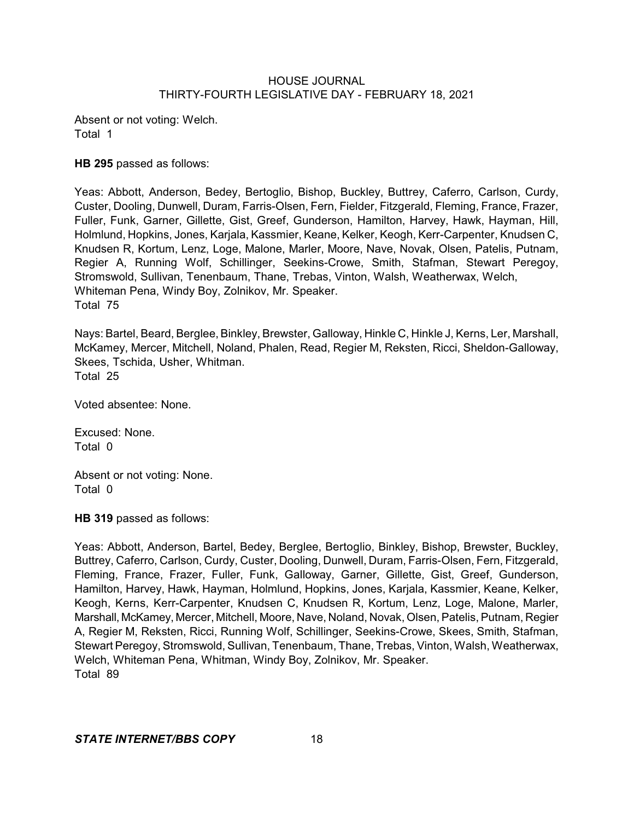Absent or not voting: Welch. Total 1

## **HB 295** passed as follows:

Yeas: Abbott, Anderson, Bedey, Bertoglio, Bishop, Buckley, Buttrey, Caferro, Carlson, Curdy, Custer, Dooling, Dunwell, Duram, Farris-Olsen, Fern, Fielder, Fitzgerald, Fleming, France, Frazer, Fuller, Funk, Garner, Gillette, Gist, Greef, Gunderson, Hamilton, Harvey, Hawk, Hayman, Hill, Holmlund, Hopkins, Jones, Karjala, Kassmier, Keane, Kelker, Keogh, Kerr-Carpenter, Knudsen C, Knudsen R, Kortum, Lenz, Loge, Malone, Marler, Moore, Nave, Novak, Olsen, Patelis, Putnam, Regier A, Running Wolf, Schillinger, Seekins-Crowe, Smith, Stafman, Stewart Peregoy, Stromswold, Sullivan, Tenenbaum, Thane, Trebas, Vinton, Walsh, Weatherwax, Welch, Whiteman Pena, Windy Boy, Zolnikov, Mr. Speaker. Total 75

Nays: Bartel, Beard, Berglee, Binkley, Brewster, Galloway, Hinkle C, Hinkle J, Kerns, Ler, Marshall, McKamey, Mercer, Mitchell, Noland, Phalen, Read, Regier M, Reksten, Ricci, Sheldon-Galloway, Skees, Tschida, Usher, Whitman. Total 25

Voted absentee: None.

Excused: None. Total 0

Absent or not voting: None. Total 0

**HB 319** passed as follows:

Yeas: Abbott, Anderson, Bartel, Bedey, Berglee, Bertoglio, Binkley, Bishop, Brewster, Buckley, Buttrey, Caferro, Carlson, Curdy, Custer, Dooling, Dunwell, Duram, Farris-Olsen, Fern, Fitzgerald, Fleming, France, Frazer, Fuller, Funk, Galloway, Garner, Gillette, Gist, Greef, Gunderson, Hamilton, Harvey, Hawk, Hayman, Holmlund, Hopkins, Jones, Karjala, Kassmier, Keane, Kelker, Keogh, Kerns, Kerr-Carpenter, Knudsen C, Knudsen R, Kortum, Lenz, Loge, Malone, Marler, Marshall, McKamey, Mercer, Mitchell, Moore, Nave, Noland, Novak, Olsen, Patelis, Putnam, Regier A, Regier M, Reksten, Ricci, Running Wolf, Schillinger, Seekins-Crowe, Skees, Smith, Stafman, Stewart Peregoy, Stromswold, Sullivan, Tenenbaum, Thane, Trebas, Vinton, Walsh, Weatherwax, Welch, Whiteman Pena, Whitman, Windy Boy, Zolnikov, Mr. Speaker. Total 89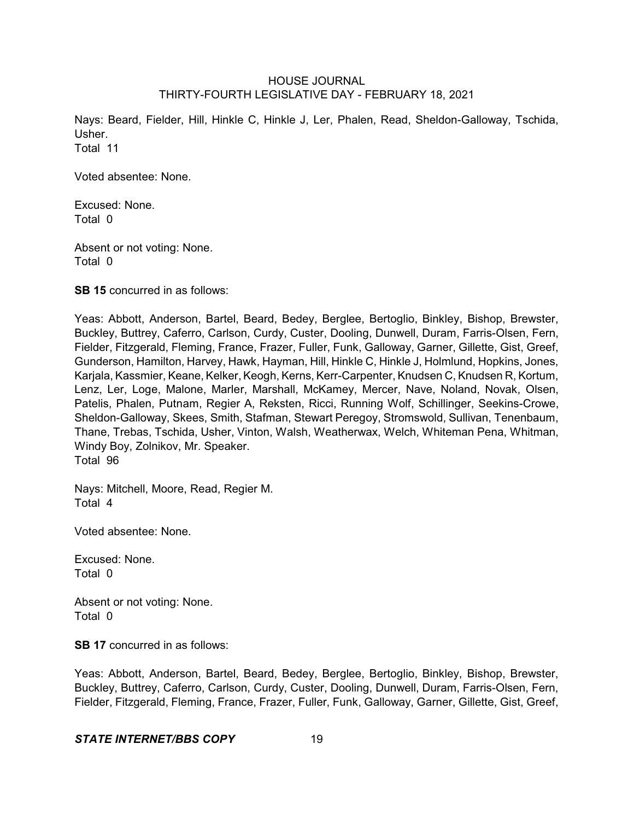Nays: Beard, Fielder, Hill, Hinkle C, Hinkle J, Ler, Phalen, Read, Sheldon-Galloway, Tschida, Usher. Total 11

Voted absentee: None.

Excused: None. Total 0

Absent or not voting: None. Total 0

**SB 15** concurred in as follows:

Yeas: Abbott, Anderson, Bartel, Beard, Bedey, Berglee, Bertoglio, Binkley, Bishop, Brewster, Buckley, Buttrey, Caferro, Carlson, Curdy, Custer, Dooling, Dunwell, Duram, Farris-Olsen, Fern, Fielder, Fitzgerald, Fleming, France, Frazer, Fuller, Funk, Galloway, Garner, Gillette, Gist, Greef, Gunderson, Hamilton, Harvey, Hawk, Hayman, Hill, Hinkle C, Hinkle J, Holmlund, Hopkins, Jones, Karjala, Kassmier, Keane, Kelker, Keogh, Kerns, Kerr-Carpenter, Knudsen C, Knudsen R, Kortum, Lenz, Ler, Loge, Malone, Marler, Marshall, McKamey, Mercer, Nave, Noland, Novak, Olsen, Patelis, Phalen, Putnam, Regier A, Reksten, Ricci, Running Wolf, Schillinger, Seekins-Crowe, Sheldon-Galloway, Skees, Smith, Stafman, Stewart Peregoy, Stromswold, Sullivan, Tenenbaum, Thane, Trebas, Tschida, Usher, Vinton, Walsh, Weatherwax, Welch, Whiteman Pena, Whitman, Windy Boy, Zolnikov, Mr. Speaker. Total 96

Nays: Mitchell, Moore, Read, Regier M. Total 4

Voted absentee: None.

Excused: None. Total 0

Absent or not voting: None. Total 0

**SB 17** concurred in as follows:

Yeas: Abbott, Anderson, Bartel, Beard, Bedey, Berglee, Bertoglio, Binkley, Bishop, Brewster, Buckley, Buttrey, Caferro, Carlson, Curdy, Custer, Dooling, Dunwell, Duram, Farris-Olsen, Fern, Fielder, Fitzgerald, Fleming, France, Frazer, Fuller, Funk, Galloway, Garner, Gillette, Gist, Greef,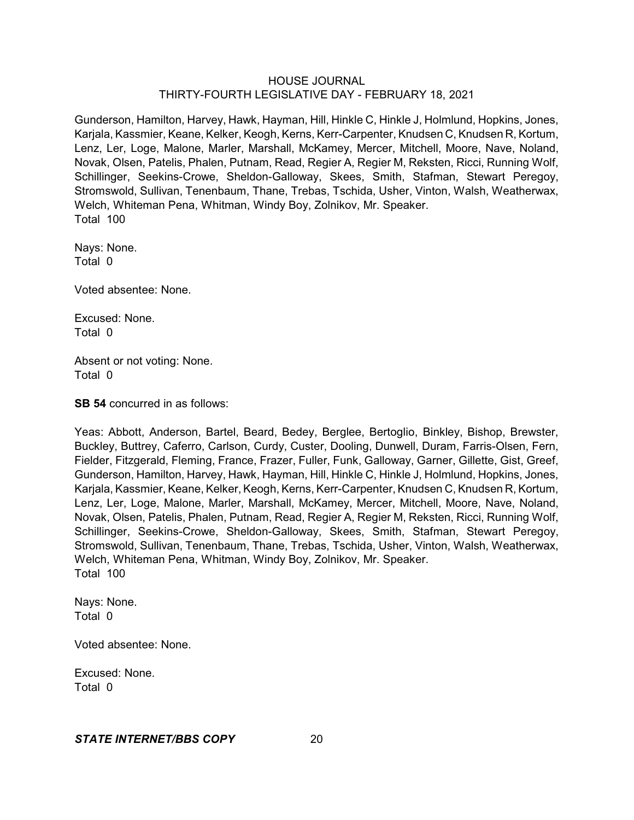Gunderson, Hamilton, Harvey, Hawk, Hayman, Hill, Hinkle C, Hinkle J, Holmlund, Hopkins, Jones, Karjala, Kassmier, Keane, Kelker, Keogh, Kerns, Kerr-Carpenter, Knudsen C, Knudsen R, Kortum, Lenz, Ler, Loge, Malone, Marler, Marshall, McKamey, Mercer, Mitchell, Moore, Nave, Noland, Novak, Olsen, Patelis, Phalen, Putnam, Read, Regier A, Regier M, Reksten, Ricci, Running Wolf, Schillinger, Seekins-Crowe, Sheldon-Galloway, Skees, Smith, Stafman, Stewart Peregoy, Stromswold, Sullivan, Tenenbaum, Thane, Trebas, Tschida, Usher, Vinton, Walsh, Weatherwax, Welch, Whiteman Pena, Whitman, Windy Boy, Zolnikov, Mr. Speaker. Total 100

Nays: None. Total 0

Voted absentee: None.

Excused: None. Total 0

Absent or not voting: None. Total 0

**SB 54** concurred in as follows:

Yeas: Abbott, Anderson, Bartel, Beard, Bedey, Berglee, Bertoglio, Binkley, Bishop, Brewster, Buckley, Buttrey, Caferro, Carlson, Curdy, Custer, Dooling, Dunwell, Duram, Farris-Olsen, Fern, Fielder, Fitzgerald, Fleming, France, Frazer, Fuller, Funk, Galloway, Garner, Gillette, Gist, Greef, Gunderson, Hamilton, Harvey, Hawk, Hayman, Hill, Hinkle C, Hinkle J, Holmlund, Hopkins, Jones, Karjala, Kassmier, Keane, Kelker, Keogh, Kerns, Kerr-Carpenter, Knudsen C, Knudsen R, Kortum, Lenz, Ler, Loge, Malone, Marler, Marshall, McKamey, Mercer, Mitchell, Moore, Nave, Noland, Novak, Olsen, Patelis, Phalen, Putnam, Read, Regier A, Regier M, Reksten, Ricci, Running Wolf, Schillinger, Seekins-Crowe, Sheldon-Galloway, Skees, Smith, Stafman, Stewart Peregoy, Stromswold, Sullivan, Tenenbaum, Thane, Trebas, Tschida, Usher, Vinton, Walsh, Weatherwax, Welch, Whiteman Pena, Whitman, Windy Boy, Zolnikov, Mr. Speaker. Total 100

Nays: None. Total 0

Voted absentee: None.

Excused: None. Total 0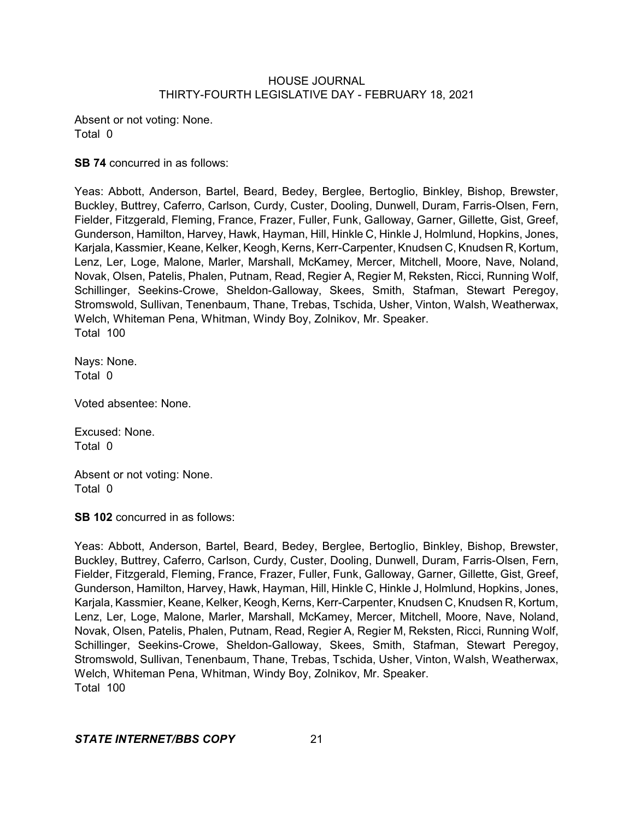Absent or not voting: None. Total 0

**SB 74** concurred in as follows:

Yeas: Abbott, Anderson, Bartel, Beard, Bedey, Berglee, Bertoglio, Binkley, Bishop, Brewster, Buckley, Buttrey, Caferro, Carlson, Curdy, Custer, Dooling, Dunwell, Duram, Farris-Olsen, Fern, Fielder, Fitzgerald, Fleming, France, Frazer, Fuller, Funk, Galloway, Garner, Gillette, Gist, Greef, Gunderson, Hamilton, Harvey, Hawk, Hayman, Hill, Hinkle C, Hinkle J, Holmlund, Hopkins, Jones, Karjala, Kassmier, Keane, Kelker, Keogh, Kerns, Kerr-Carpenter, Knudsen C, Knudsen R, Kortum, Lenz, Ler, Loge, Malone, Marler, Marshall, McKamey, Mercer, Mitchell, Moore, Nave, Noland, Novak, Olsen, Patelis, Phalen, Putnam, Read, Regier A, Regier M, Reksten, Ricci, Running Wolf, Schillinger, Seekins-Crowe, Sheldon-Galloway, Skees, Smith, Stafman, Stewart Peregoy, Stromswold, Sullivan, Tenenbaum, Thane, Trebas, Tschida, Usher, Vinton, Walsh, Weatherwax, Welch, Whiteman Pena, Whitman, Windy Boy, Zolnikov, Mr. Speaker. Total 100

Nays: None. Total 0

Voted absentee: None.

Excused: None. Total 0

Absent or not voting: None. Total 0

**SB 102** concurred in as follows:

Yeas: Abbott, Anderson, Bartel, Beard, Bedey, Berglee, Bertoglio, Binkley, Bishop, Brewster, Buckley, Buttrey, Caferro, Carlson, Curdy, Custer, Dooling, Dunwell, Duram, Farris-Olsen, Fern, Fielder, Fitzgerald, Fleming, France, Frazer, Fuller, Funk, Galloway, Garner, Gillette, Gist, Greef, Gunderson, Hamilton, Harvey, Hawk, Hayman, Hill, Hinkle C, Hinkle J, Holmlund, Hopkins, Jones, Karjala, Kassmier, Keane, Kelker, Keogh, Kerns, Kerr-Carpenter, Knudsen C, Knudsen R, Kortum, Lenz, Ler, Loge, Malone, Marler, Marshall, McKamey, Mercer, Mitchell, Moore, Nave, Noland, Novak, Olsen, Patelis, Phalen, Putnam, Read, Regier A, Regier M, Reksten, Ricci, Running Wolf, Schillinger, Seekins-Crowe, Sheldon-Galloway, Skees, Smith, Stafman, Stewart Peregoy, Stromswold, Sullivan, Tenenbaum, Thane, Trebas, Tschida, Usher, Vinton, Walsh, Weatherwax, Welch, Whiteman Pena, Whitman, Windy Boy, Zolnikov, Mr. Speaker. Total 100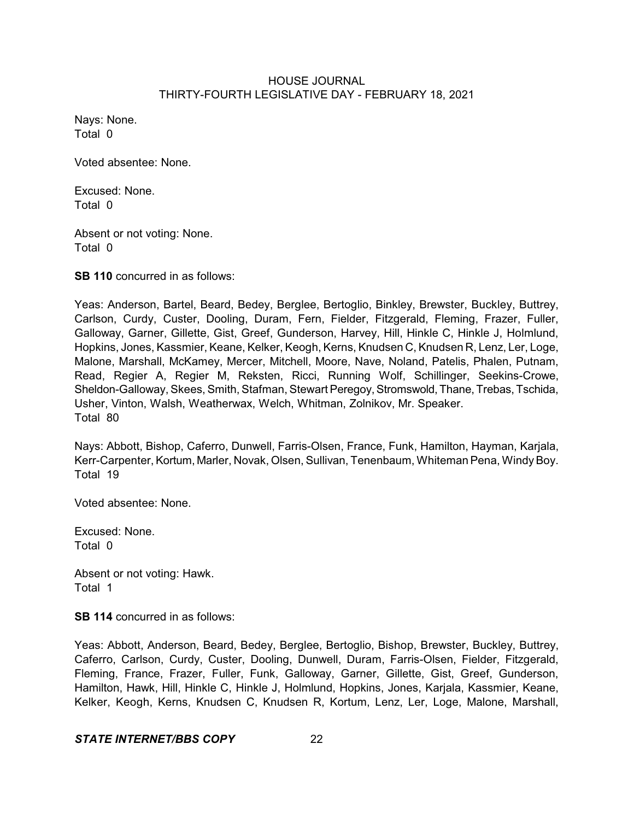Nays: None. Total 0

Voted absentee: None.

Excused: None. Total 0

Absent or not voting: None. Total 0

**SB 110** concurred in as follows:

Yeas: Anderson, Bartel, Beard, Bedey, Berglee, Bertoglio, Binkley, Brewster, Buckley, Buttrey, Carlson, Curdy, Custer, Dooling, Duram, Fern, Fielder, Fitzgerald, Fleming, Frazer, Fuller, Galloway, Garner, Gillette, Gist, Greef, Gunderson, Harvey, Hill, Hinkle C, Hinkle J, Holmlund, Hopkins, Jones, Kassmier, Keane, Kelker, Keogh, Kerns, Knudsen C, Knudsen R, Lenz, Ler, Loge, Malone, Marshall, McKamey, Mercer, Mitchell, Moore, Nave, Noland, Patelis, Phalen, Putnam, Read, Regier A, Regier M, Reksten, Ricci, Running Wolf, Schillinger, Seekins-Crowe, Sheldon-Galloway, Skees, Smith, Stafman, Stewart Peregoy, Stromswold, Thane, Trebas, Tschida, Usher, Vinton, Walsh, Weatherwax, Welch, Whitman, Zolnikov, Mr. Speaker. Total 80

Nays: Abbott, Bishop, Caferro, Dunwell, Farris-Olsen, France, Funk, Hamilton, Hayman, Karjala, Kerr-Carpenter, Kortum, Marler, Novak, Olsen, Sullivan, Tenenbaum, Whiteman Pena, Windy Boy. Total 19

Voted absentee: None.

Excused: None. Total 0

Absent or not voting: Hawk. Total 1

**SB 114** concurred in as follows:

Yeas: Abbott, Anderson, Beard, Bedey, Berglee, Bertoglio, Bishop, Brewster, Buckley, Buttrey, Caferro, Carlson, Curdy, Custer, Dooling, Dunwell, Duram, Farris-Olsen, Fielder, Fitzgerald, Fleming, France, Frazer, Fuller, Funk, Galloway, Garner, Gillette, Gist, Greef, Gunderson, Hamilton, Hawk, Hill, Hinkle C, Hinkle J, Holmlund, Hopkins, Jones, Karjala, Kassmier, Keane, Kelker, Keogh, Kerns, Knudsen C, Knudsen R, Kortum, Lenz, Ler, Loge, Malone, Marshall,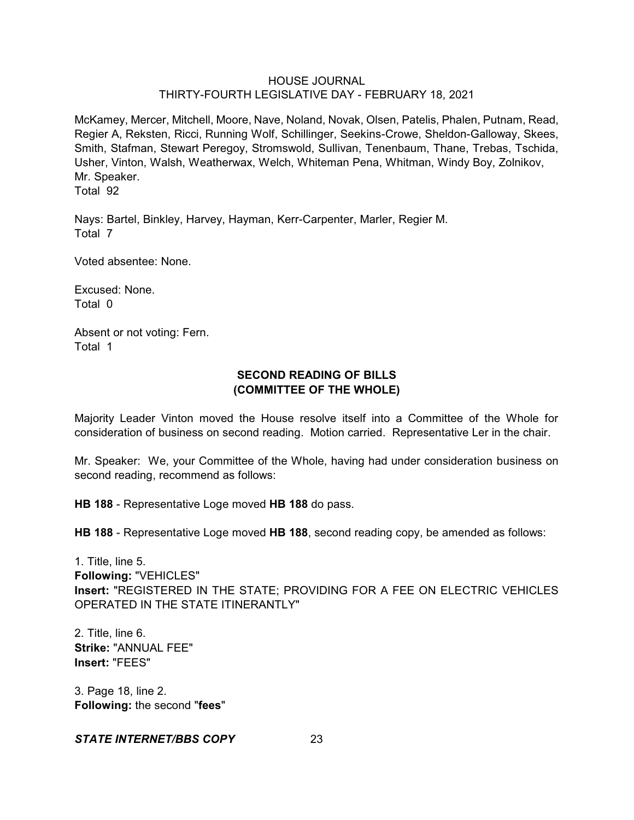McKamey, Mercer, Mitchell, Moore, Nave, Noland, Novak, Olsen, Patelis, Phalen, Putnam, Read, Regier A, Reksten, Ricci, Running Wolf, Schillinger, Seekins-Crowe, Sheldon-Galloway, Skees, Smith, Stafman, Stewart Peregoy, Stromswold, Sullivan, Tenenbaum, Thane, Trebas, Tschida, Usher, Vinton, Walsh, Weatherwax, Welch, Whiteman Pena, Whitman, Windy Boy, Zolnikov, Mr. Speaker.

Total 92

Nays: Bartel, Binkley, Harvey, Hayman, Kerr-Carpenter, Marler, Regier M. Total 7

Voted absentee: None.

Excused: None. Total 0

Absent or not voting: Fern. Total 1

# **SECOND READING OF BILLS (COMMITTEE OF THE WHOLE)**

Majority Leader Vinton moved the House resolve itself into a Committee of the Whole for consideration of business on second reading. Motion carried. Representative Ler in the chair.

Mr. Speaker: We, your Committee of the Whole, having had under consideration business on second reading, recommend as follows:

**HB 188** - Representative Loge moved **HB 188** do pass.

**HB 188** - Representative Loge moved **HB 188**, second reading copy, be amended as follows:

1. Title, line 5. **Following:** "VEHICLES" **Insert:** "REGISTERED IN THE STATE; PROVIDING FOR A FEE ON ELECTRIC VEHICLES OPERATED IN THE STATE ITINERANTLY"

2. Title, line 6. **Strike:** "ANNUAL FEE" **Insert:** "FEES"

3. Page 18, line 2. **Following:** the second "**fees**"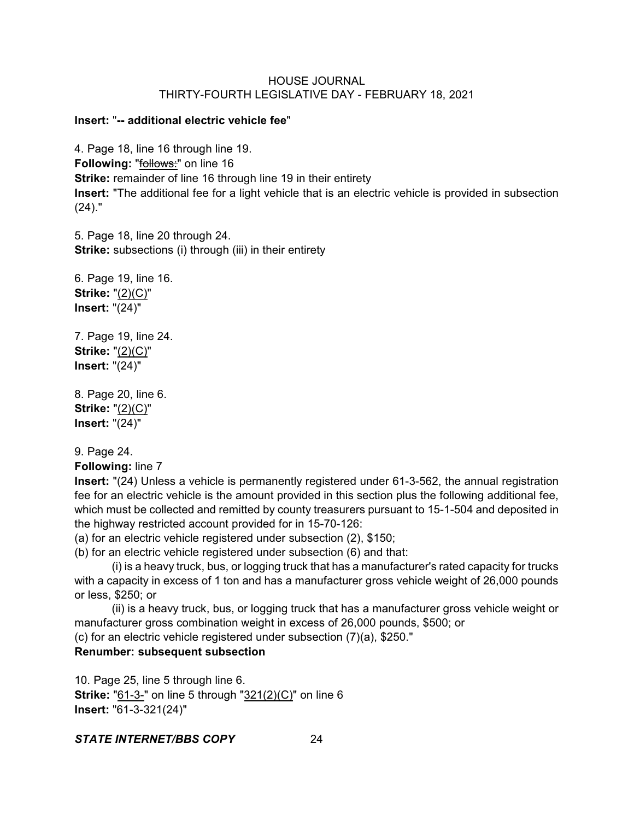#### **Insert:** "**-- additional electric vehicle fee**"

4. Page 18, line 16 through line 19. **Following:** "**follows:**" on line 16 **Strike:** remainder of line 16 through line 19 in their entirety **Insert:** "The additional fee for a light vehicle that is an electric vehicle is provided in subsection (24)."

5. Page 18, line 20 through 24. **Strike:** subsections (i) through (iii) in their entirety

6. Page 19, line 16. **Strike:** "(2)(C)" **Insert:** "(24)"

7. Page 19, line 24. **Strike:** "(2)(C)" **Insert:** "(24)"

8. Page 20, line 6. **Strike:** "(2)(C)" **Insert:** "(24)"

9. Page 24.

**Following:** line 7

**Insert:** "(24) Unless a vehicle is permanently registered under 61-3-562, the annual registration fee for an electric vehicle is the amount provided in this section plus the following additional fee, which must be collected and remitted by county treasurers pursuant to 15-1-504 and deposited in the highway restricted account provided for in 15-70-126:

(a) for an electric vehicle registered under subsection (2), \$150;

(b) for an electric vehicle registered under subsection (6) and that:

(i) is a heavy truck, bus, or logging truck that has a manufacturer's rated capacity for trucks with a capacity in excess of 1 ton and has a manufacturer gross vehicle weight of 26,000 pounds or less, \$250; or

(ii) is a heavy truck, bus, or logging truck that has a manufacturer gross vehicle weight or manufacturer gross combination weight in excess of 26,000 pounds, \$500; or

(c) for an electric vehicle registered under subsection (7)(a), \$250."

## **Renumber: subsequent subsection**

10. Page 25, line 5 through line 6. **Strike:** "61-3-" on line 5 through "321(2)(C)" on line 6 **Insert:** "61-3-321(24)"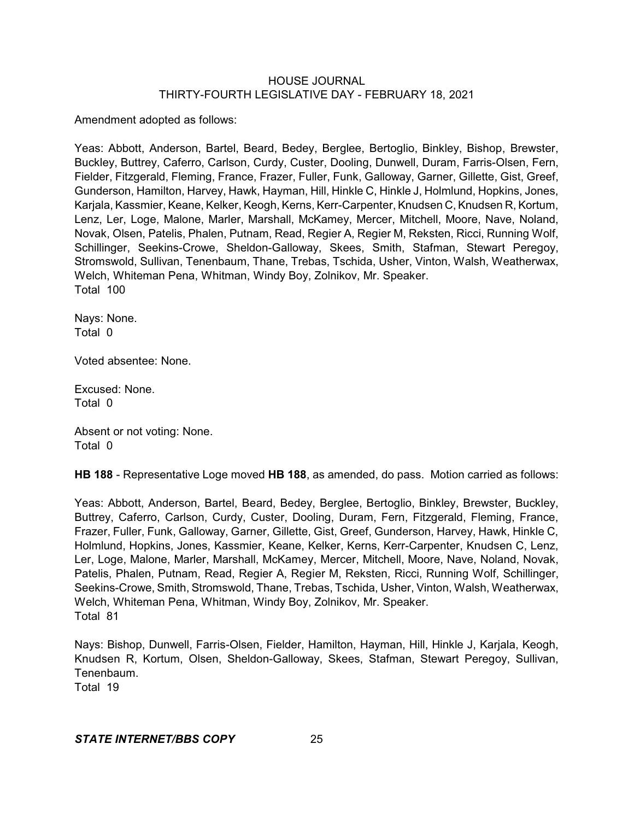Amendment adopted as follows:

Yeas: Abbott, Anderson, Bartel, Beard, Bedey, Berglee, Bertoglio, Binkley, Bishop, Brewster, Buckley, Buttrey, Caferro, Carlson, Curdy, Custer, Dooling, Dunwell, Duram, Farris-Olsen, Fern, Fielder, Fitzgerald, Fleming, France, Frazer, Fuller, Funk, Galloway, Garner, Gillette, Gist, Greef, Gunderson, Hamilton, Harvey, Hawk, Hayman, Hill, Hinkle C, Hinkle J, Holmlund, Hopkins, Jones, Karjala, Kassmier, Keane, Kelker, Keogh, Kerns, Kerr-Carpenter, Knudsen C, Knudsen R, Kortum, Lenz, Ler, Loge, Malone, Marler, Marshall, McKamey, Mercer, Mitchell, Moore, Nave, Noland, Novak, Olsen, Patelis, Phalen, Putnam, Read, Regier A, Regier M, Reksten, Ricci, Running Wolf, Schillinger, Seekins-Crowe, Sheldon-Galloway, Skees, Smith, Stafman, Stewart Peregoy, Stromswold, Sullivan, Tenenbaum, Thane, Trebas, Tschida, Usher, Vinton, Walsh, Weatherwax, Welch, Whiteman Pena, Whitman, Windy Boy, Zolnikov, Mr. Speaker. Total 100

Nays: None. Total 0

Voted absentee: None.

Excused: None. Total 0

Absent or not voting: None. Total 0

**HB 188** - Representative Loge moved **HB 188**, as amended, do pass. Motion carried as follows:

Yeas: Abbott, Anderson, Bartel, Beard, Bedey, Berglee, Bertoglio, Binkley, Brewster, Buckley, Buttrey, Caferro, Carlson, Curdy, Custer, Dooling, Duram, Fern, Fitzgerald, Fleming, France, Frazer, Fuller, Funk, Galloway, Garner, Gillette, Gist, Greef, Gunderson, Harvey, Hawk, Hinkle C, Holmlund, Hopkins, Jones, Kassmier, Keane, Kelker, Kerns, Kerr-Carpenter, Knudsen C, Lenz, Ler, Loge, Malone, Marler, Marshall, McKamey, Mercer, Mitchell, Moore, Nave, Noland, Novak, Patelis, Phalen, Putnam, Read, Regier A, Regier M, Reksten, Ricci, Running Wolf, Schillinger, Seekins-Crowe, Smith, Stromswold, Thane, Trebas, Tschida, Usher, Vinton, Walsh, Weatherwax, Welch, Whiteman Pena, Whitman, Windy Boy, Zolnikov, Mr. Speaker. Total 81

Nays: Bishop, Dunwell, Farris-Olsen, Fielder, Hamilton, Hayman, Hill, Hinkle J, Karjala, Keogh, Knudsen R, Kortum, Olsen, Sheldon-Galloway, Skees, Stafman, Stewart Peregoy, Sullivan, Tenenbaum.

Total 19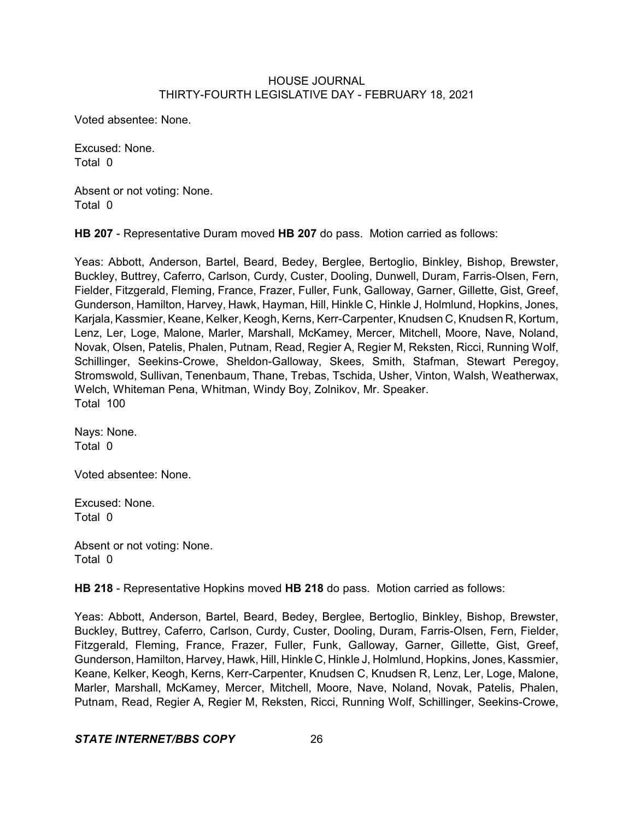Voted absentee: None.

Excused: None. Total 0

Absent or not voting: None. Total 0

**HB 207** - Representative Duram moved **HB 207** do pass. Motion carried as follows:

Yeas: Abbott, Anderson, Bartel, Beard, Bedey, Berglee, Bertoglio, Binkley, Bishop, Brewster, Buckley, Buttrey, Caferro, Carlson, Curdy, Custer, Dooling, Dunwell, Duram, Farris-Olsen, Fern, Fielder, Fitzgerald, Fleming, France, Frazer, Fuller, Funk, Galloway, Garner, Gillette, Gist, Greef, Gunderson, Hamilton, Harvey, Hawk, Hayman, Hill, Hinkle C, Hinkle J, Holmlund, Hopkins, Jones, Karjala, Kassmier, Keane, Kelker, Keogh, Kerns, Kerr-Carpenter, Knudsen C, Knudsen R, Kortum, Lenz, Ler, Loge, Malone, Marler, Marshall, McKamey, Mercer, Mitchell, Moore, Nave, Noland, Novak, Olsen, Patelis, Phalen, Putnam, Read, Regier A, Regier M, Reksten, Ricci, Running Wolf, Schillinger, Seekins-Crowe, Sheldon-Galloway, Skees, Smith, Stafman, Stewart Peregoy, Stromswold, Sullivan, Tenenbaum, Thane, Trebas, Tschida, Usher, Vinton, Walsh, Weatherwax, Welch, Whiteman Pena, Whitman, Windy Boy, Zolnikov, Mr. Speaker. Total 100

Nays: None. Total 0

Voted absentee: None.

Excused: None. Total 0

Absent or not voting: None. Total 0

**HB 218** - Representative Hopkins moved **HB 218** do pass. Motion carried as follows:

Yeas: Abbott, Anderson, Bartel, Beard, Bedey, Berglee, Bertoglio, Binkley, Bishop, Brewster, Buckley, Buttrey, Caferro, Carlson, Curdy, Custer, Dooling, Duram, Farris-Olsen, Fern, Fielder, Fitzgerald, Fleming, France, Frazer, Fuller, Funk, Galloway, Garner, Gillette, Gist, Greef, Gunderson, Hamilton, Harvey, Hawk, Hill, Hinkle C, Hinkle J, Holmlund, Hopkins, Jones, Kassmier, Keane, Kelker, Keogh, Kerns, Kerr-Carpenter, Knudsen C, Knudsen R, Lenz, Ler, Loge, Malone, Marler, Marshall, McKamey, Mercer, Mitchell, Moore, Nave, Noland, Novak, Patelis, Phalen, Putnam, Read, Regier A, Regier M, Reksten, Ricci, Running Wolf, Schillinger, Seekins-Crowe,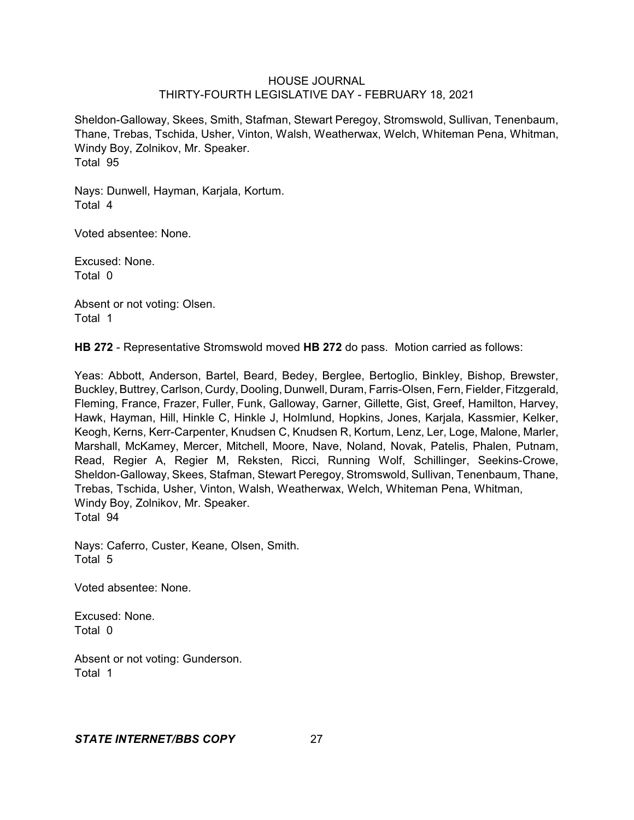Sheldon-Galloway, Skees, Smith, Stafman, Stewart Peregoy, Stromswold, Sullivan, Tenenbaum, Thane, Trebas, Tschida, Usher, Vinton, Walsh, Weatherwax, Welch, Whiteman Pena, Whitman, Windy Boy, Zolnikov, Mr. Speaker. Total 95

Nays: Dunwell, Hayman, Karjala, Kortum. Total 4

Voted absentee: None.

Excused: None. Total 0

Absent or not voting: Olsen. Total 1

**HB 272** - Representative Stromswold moved **HB 272** do pass. Motion carried as follows:

Yeas: Abbott, Anderson, Bartel, Beard, Bedey, Berglee, Bertoglio, Binkley, Bishop, Brewster, Buckley, Buttrey, Carlson, Curdy, Dooling, Dunwell, Duram, Farris-Olsen, Fern, Fielder, Fitzgerald, Fleming, France, Frazer, Fuller, Funk, Galloway, Garner, Gillette, Gist, Greef, Hamilton, Harvey, Hawk, Hayman, Hill, Hinkle C, Hinkle J, Holmlund, Hopkins, Jones, Karjala, Kassmier, Kelker, Keogh, Kerns, Kerr-Carpenter, Knudsen C, Knudsen R, Kortum, Lenz, Ler, Loge, Malone, Marler, Marshall, McKamey, Mercer, Mitchell, Moore, Nave, Noland, Novak, Patelis, Phalen, Putnam, Read, Regier A, Regier M, Reksten, Ricci, Running Wolf, Schillinger, Seekins-Crowe, Sheldon-Galloway, Skees, Stafman, Stewart Peregoy, Stromswold, Sullivan, Tenenbaum, Thane, Trebas, Tschida, Usher, Vinton, Walsh, Weatherwax, Welch, Whiteman Pena, Whitman, Windy Boy, Zolnikov, Mr. Speaker. Total 94

Nays: Caferro, Custer, Keane, Olsen, Smith. Total 5

Voted absentee: None.

Excused: None. Total 0

Absent or not voting: Gunderson. Total 1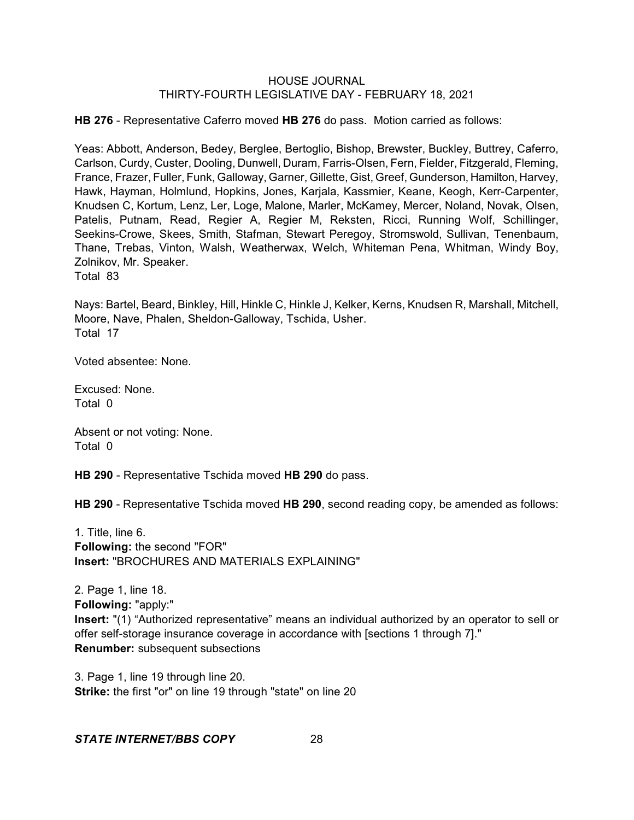**HB 276** - Representative Caferro moved **HB 276** do pass. Motion carried as follows:

Yeas: Abbott, Anderson, Bedey, Berglee, Bertoglio, Bishop, Brewster, Buckley, Buttrey, Caferro, Carlson, Curdy, Custer, Dooling, Dunwell, Duram, Farris-Olsen, Fern, Fielder, Fitzgerald, Fleming, France, Frazer, Fuller, Funk, Galloway, Garner, Gillette, Gist, Greef, Gunderson, Hamilton, Harvey, Hawk, Hayman, Holmlund, Hopkins, Jones, Karjala, Kassmier, Keane, Keogh, Kerr-Carpenter, Knudsen C, Kortum, Lenz, Ler, Loge, Malone, Marler, McKamey, Mercer, Noland, Novak, Olsen, Patelis, Putnam, Read, Regier A, Regier M, Reksten, Ricci, Running Wolf, Schillinger, Seekins-Crowe, Skees, Smith, Stafman, Stewart Peregoy, Stromswold, Sullivan, Tenenbaum, Thane, Trebas, Vinton, Walsh, Weatherwax, Welch, Whiteman Pena, Whitman, Windy Boy, Zolnikov, Mr. Speaker. Total 83

Nays: Bartel, Beard, Binkley, Hill, Hinkle C, Hinkle J, Kelker, Kerns, Knudsen R, Marshall, Mitchell, Moore, Nave, Phalen, Sheldon-Galloway, Tschida, Usher. Total 17

Voted absentee: None.

Excused: None. Total 0

Absent or not voting: None. Total 0

**HB 290** - Representative Tschida moved **HB 290** do pass.

**HB 290** - Representative Tschida moved **HB 290**, second reading copy, be amended as follows:

1. Title, line 6. **Following:** the second "FOR" **Insert: "BROCHURES AND MATERIALS EXPLAINING"** 

2. Page 1, line 18. **Following:** "apply:" **Insert:** "(1) "Authorized representative" means an individual authorized by an operator to sell or offer self-storage insurance coverage in accordance with [sections 1 through 7]." **Renumber:** subsequent subsections

3. Page 1, line 19 through line 20. **Strike:** the first "or" on line 19 through "state" on line 20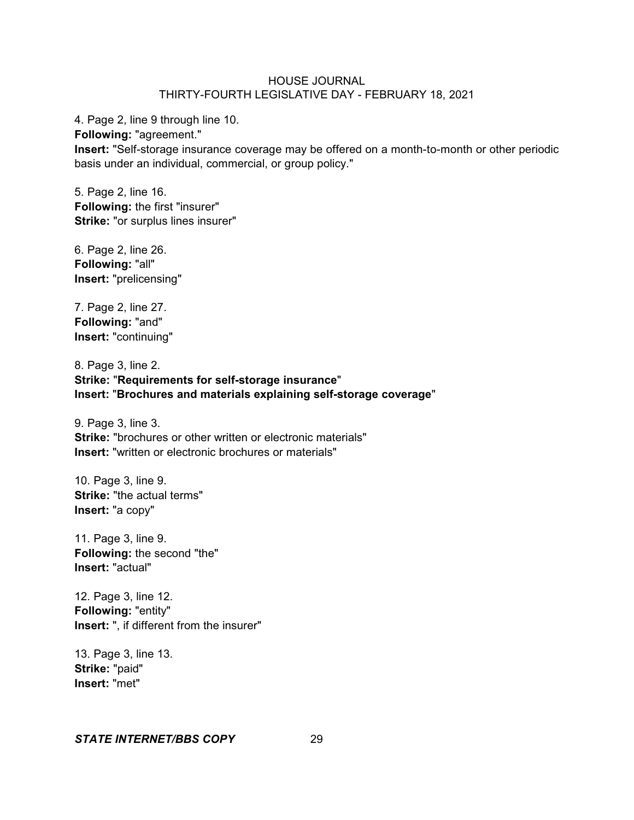4. Page 2, line 9 through line 10. **Following:** "agreement." **Insert:** "Self-storage insurance coverage may be offered on a month-to-month or other periodic basis under an individual, commercial, or group policy."

5. Page 2, line 16. **Following:** the first "insurer" **Strike:** "or surplus lines insurer"

6. Page 2, line 26. **Following:** "all" **Insert:** "prelicensing"

7. Page 2, line 27. **Following:** "and" **Insert:** "continuing"

8. Page 3, line 2. **Strike:** "**Requirements for self-storage insurance**" **Insert:** "**Brochures and materials explaining self-storage coverage**"

9. Page 3, line 3. **Strike:** "brochures or other written or electronic materials" **Insert:** "written or electronic brochures or materials"

10. Page 3, line 9. **Strike:** "the actual terms" **Insert:** "a copy"

11. Page 3, line 9. **Following:** the second "the" **Insert:** "actual"

12. Page 3, line 12. **Following:** "entity" **Insert:** ", if different from the insurer"

13. Page 3, line 13. **Strike:** "paid" **Insert:** "met"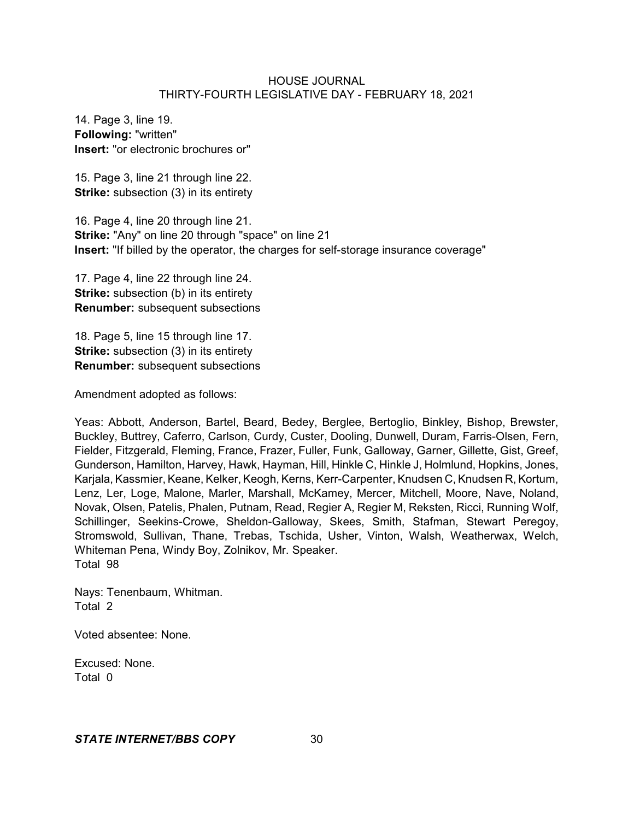14. Page 3, line 19. **Following:** "written" **Insert:** "or electronic brochures or"

15. Page 3, line 21 through line 22. **Strike:** subsection (3) in its entirety

16. Page 4, line 20 through line 21. **Strike:** "Any" on line 20 through "space" on line 21 **Insert:** "If billed by the operator, the charges for self-storage insurance coverage"

17. Page 4, line 22 through line 24. **Strike:** subsection (b) in its entirety **Renumber:** subsequent subsections

18. Page 5, line 15 through line 17. **Strike:** subsection (3) in its entirety **Renumber:** subsequent subsections

Amendment adopted as follows:

Yeas: Abbott, Anderson, Bartel, Beard, Bedey, Berglee, Bertoglio, Binkley, Bishop, Brewster, Buckley, Buttrey, Caferro, Carlson, Curdy, Custer, Dooling, Dunwell, Duram, Farris-Olsen, Fern, Fielder, Fitzgerald, Fleming, France, Frazer, Fuller, Funk, Galloway, Garner, Gillette, Gist, Greef, Gunderson, Hamilton, Harvey, Hawk, Hayman, Hill, Hinkle C, Hinkle J, Holmlund, Hopkins, Jones, Karjala, Kassmier, Keane, Kelker, Keogh, Kerns, Kerr-Carpenter, Knudsen C, Knudsen R, Kortum, Lenz, Ler, Loge, Malone, Marler, Marshall, McKamey, Mercer, Mitchell, Moore, Nave, Noland, Novak, Olsen, Patelis, Phalen, Putnam, Read, Regier A, Regier M, Reksten, Ricci, Running Wolf, Schillinger, Seekins-Crowe, Sheldon-Galloway, Skees, Smith, Stafman, Stewart Peregoy, Stromswold, Sullivan, Thane, Trebas, Tschida, Usher, Vinton, Walsh, Weatherwax, Welch, Whiteman Pena, Windy Boy, Zolnikov, Mr. Speaker. Total 98

Nays: Tenenbaum, Whitman. Total 2

Voted absentee: None.

Excused: None. Total 0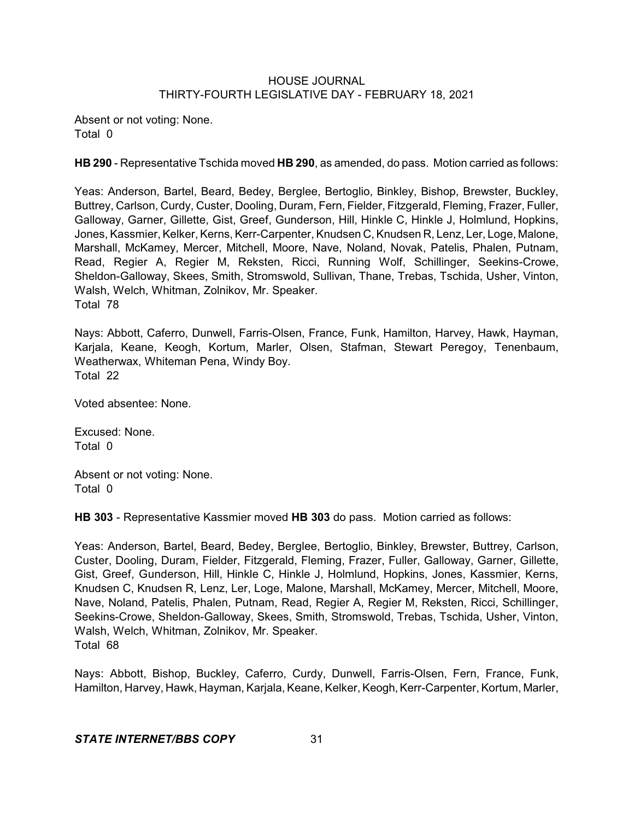Absent or not voting: None. Total 0

**HB 290** - Representative Tschida moved **HB 290**, as amended, do pass. Motion carried as follows:

Yeas: Anderson, Bartel, Beard, Bedey, Berglee, Bertoglio, Binkley, Bishop, Brewster, Buckley, Buttrey, Carlson, Curdy, Custer, Dooling, Duram, Fern, Fielder, Fitzgerald, Fleming, Frazer, Fuller, Galloway, Garner, Gillette, Gist, Greef, Gunderson, Hill, Hinkle C, Hinkle J, Holmlund, Hopkins, Jones, Kassmier, Kelker, Kerns, Kerr-Carpenter, Knudsen C, Knudsen R, Lenz, Ler, Loge, Malone, Marshall, McKamey, Mercer, Mitchell, Moore, Nave, Noland, Novak, Patelis, Phalen, Putnam, Read, Regier A, Regier M, Reksten, Ricci, Running Wolf, Schillinger, Seekins-Crowe, Sheldon-Galloway, Skees, Smith, Stromswold, Sullivan, Thane, Trebas, Tschida, Usher, Vinton, Walsh, Welch, Whitman, Zolnikov, Mr. Speaker. Total 78

Nays: Abbott, Caferro, Dunwell, Farris-Olsen, France, Funk, Hamilton, Harvey, Hawk, Hayman, Karjala, Keane, Keogh, Kortum, Marler, Olsen, Stafman, Stewart Peregoy, Tenenbaum, Weatherwax, Whiteman Pena, Windy Boy. Total 22

Voted absentee: None.

Excused: None. Total 0

Absent or not voting: None. Total 0

**HB 303** - Representative Kassmier moved **HB 303** do pass. Motion carried as follows:

Yeas: Anderson, Bartel, Beard, Bedey, Berglee, Bertoglio, Binkley, Brewster, Buttrey, Carlson, Custer, Dooling, Duram, Fielder, Fitzgerald, Fleming, Frazer, Fuller, Galloway, Garner, Gillette, Gist, Greef, Gunderson, Hill, Hinkle C, Hinkle J, Holmlund, Hopkins, Jones, Kassmier, Kerns, Knudsen C, Knudsen R, Lenz, Ler, Loge, Malone, Marshall, McKamey, Mercer, Mitchell, Moore, Nave, Noland, Patelis, Phalen, Putnam, Read, Regier A, Regier M, Reksten, Ricci, Schillinger, Seekins-Crowe, Sheldon-Galloway, Skees, Smith, Stromswold, Trebas, Tschida, Usher, Vinton, Walsh, Welch, Whitman, Zolnikov, Mr. Speaker. Total 68

Nays: Abbott, Bishop, Buckley, Caferro, Curdy, Dunwell, Farris-Olsen, Fern, France, Funk, Hamilton, Harvey, Hawk, Hayman, Karjala, Keane, Kelker, Keogh,Kerr-Carpenter, Kortum, Marler,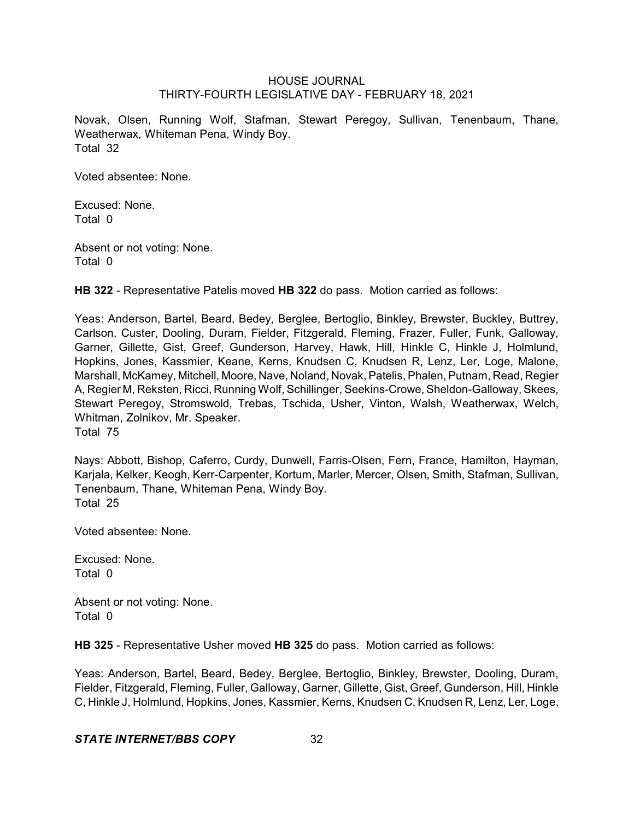Novak, Olsen, Running Wolf, Stafman, Stewart Peregoy, Sullivan, Tenenbaum, Thane, Weatherwax, Whiteman Pena, Windy Boy. Total 32

Voted absentee: None.

Excused: None. Total 0

Absent or not voting: None. Total 0

**HB 322** - Representative Patelis moved **HB 322** do pass. Motion carried as follows:

Yeas: Anderson, Bartel, Beard, Bedey, Berglee, Bertoglio, Binkley, Brewster, Buckley, Buttrey, Carlson, Custer, Dooling, Duram, Fielder, Fitzgerald, Fleming, Frazer, Fuller, Funk, Galloway, Garner, Gillette, Gist, Greef, Gunderson, Harvey, Hawk, Hill, Hinkle C, Hinkle J, Holmlund, Hopkins, Jones, Kassmier, Keane, Kerns, Knudsen C, Knudsen R, Lenz, Ler, Loge, Malone, Marshall, McKamey, Mitchell, Moore, Nave, Noland, Novak,Patelis, Phalen, Putnam, Read, Regier A, Regier M, Reksten, Ricci, Running Wolf, Schillinger, Seekins-Crowe,Sheldon-Galloway, Skees, Stewart Peregoy, Stromswold, Trebas, Tschida, Usher, Vinton, Walsh, Weatherwax, Welch, Whitman, Zolnikov, Mr. Speaker.

Total 75

Nays: Abbott, Bishop, Caferro, Curdy, Dunwell, Farris-Olsen, Fern, France, Hamilton, Hayman, Karjala, Kelker, Keogh, Kerr-Carpenter, Kortum, Marler, Mercer, Olsen, Smith, Stafman, Sullivan, Tenenbaum, Thane, Whiteman Pena, Windy Boy. Total 25

Voted absentee: None.

Excused: None. Total 0

Absent or not voting: None. Total 0

**HB 325** - Representative Usher moved **HB 325** do pass. Motion carried as follows:

Yeas: Anderson, Bartel, Beard, Bedey, Berglee, Bertoglio, Binkley, Brewster, Dooling, Duram, Fielder, Fitzgerald, Fleming, Fuller, Galloway, Garner, Gillette, Gist, Greef, Gunderson, Hill, Hinkle C, Hinkle J, Holmlund, Hopkins, Jones, Kassmier, Kerns, Knudsen C, Knudsen R, Lenz, Ler, Loge,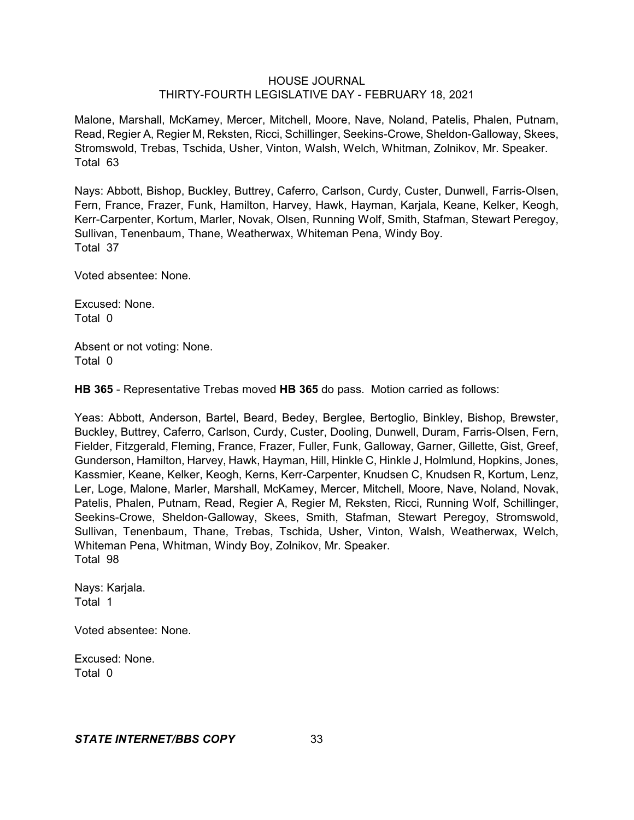Malone, Marshall, McKamey, Mercer, Mitchell, Moore, Nave, Noland, Patelis, Phalen, Putnam, Read, Regier A, Regier M, Reksten, Ricci, Schillinger, Seekins-Crowe, Sheldon-Galloway, Skees, Stromswold, Trebas, Tschida, Usher, Vinton, Walsh, Welch, Whitman, Zolnikov, Mr. Speaker. Total 63

Nays: Abbott, Bishop, Buckley, Buttrey, Caferro, Carlson, Curdy, Custer, Dunwell, Farris-Olsen, Fern, France, Frazer, Funk, Hamilton, Harvey, Hawk, Hayman, Karjala, Keane, Kelker, Keogh, Kerr-Carpenter, Kortum, Marler, Novak, Olsen, Running Wolf, Smith, Stafman, Stewart Peregoy, Sullivan, Tenenbaum, Thane, Weatherwax, Whiteman Pena, Windy Boy. Total 37

Voted absentee: None.

Excused: None. Total 0

Absent or not voting: None. Total 0

**HB 365** - Representative Trebas moved **HB 365** do pass. Motion carried as follows:

Yeas: Abbott, Anderson, Bartel, Beard, Bedey, Berglee, Bertoglio, Binkley, Bishop, Brewster, Buckley, Buttrey, Caferro, Carlson, Curdy, Custer, Dooling, Dunwell, Duram, Farris-Olsen, Fern, Fielder, Fitzgerald, Fleming, France, Frazer, Fuller, Funk, Galloway, Garner, Gillette, Gist, Greef, Gunderson, Hamilton, Harvey, Hawk, Hayman, Hill, Hinkle C, Hinkle J, Holmlund, Hopkins, Jones, Kassmier, Keane, Kelker, Keogh, Kerns, Kerr-Carpenter, Knudsen C, Knudsen R, Kortum, Lenz, Ler, Loge, Malone, Marler, Marshall, McKamey, Mercer, Mitchell, Moore, Nave, Noland, Novak, Patelis, Phalen, Putnam, Read, Regier A, Regier M, Reksten, Ricci, Running Wolf, Schillinger, Seekins-Crowe, Sheldon-Galloway, Skees, Smith, Stafman, Stewart Peregoy, Stromswold, Sullivan, Tenenbaum, Thane, Trebas, Tschida, Usher, Vinton, Walsh, Weatherwax, Welch, Whiteman Pena, Whitman, Windy Boy, Zolnikov, Mr. Speaker. Total 98

Nays: Karjala. Total 1

Voted absentee: None.

Excused: None. Total 0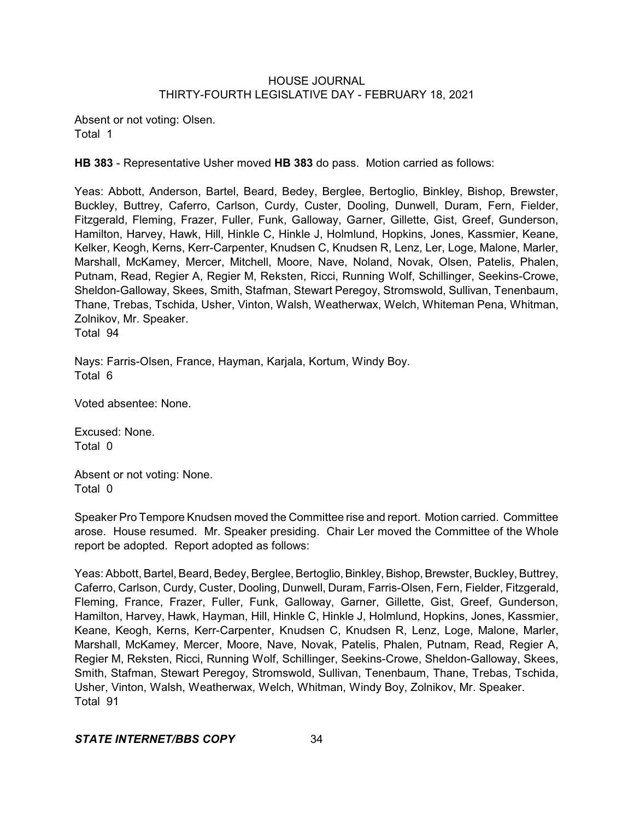Absent or not voting: Olsen. Total 1

**HB 383** - Representative Usher moved **HB 383** do pass. Motion carried as follows:

Yeas: Abbott, Anderson, Bartel, Beard, Bedey, Berglee, Bertoglio, Binkley, Bishop, Brewster, Buckley, Buttrey, Caferro, Carlson, Curdy, Custer, Dooling, Dunwell, Duram, Fern, Fielder, Fitzgerald, Fleming, Frazer, Fuller, Funk, Galloway, Garner, Gillette, Gist, Greef, Gunderson, Hamilton, Harvey, Hawk, Hill, Hinkle C, Hinkle J, Holmlund, Hopkins, Jones, Kassmier, Keane, Kelker, Keogh, Kerns, Kerr-Carpenter, Knudsen C, Knudsen R, Lenz, Ler, Loge, Malone, Marler, Marshall, McKamey, Mercer, Mitchell, Moore, Nave, Noland, Novak, Olsen, Patelis, Phalen, Putnam, Read, Regier A, Regier M, Reksten, Ricci, Running Wolf, Schillinger, Seekins-Crowe, Sheldon-Galloway, Skees, Smith, Stafman, Stewart Peregoy, Stromswold, Sullivan, Tenenbaum, Thane, Trebas, Tschida, Usher, Vinton, Walsh, Weatherwax, Welch, Whiteman Pena, Whitman, Zolnikov, Mr. Speaker.

Total 94

Nays: Farris-Olsen, France, Hayman, Karjala, Kortum, Windy Boy. Total 6

Voted absentee: None.

Excused: None. Total 0

Absent or not voting: None. Total 0

Speaker Pro Tempore Knudsen moved the Committee rise and report. Motion carried. Committee arose. House resumed. Mr. Speaker presiding. Chair Ler moved the Committee of the Whole report be adopted. Report adopted as follows:

Yeas: Abbott, Bartel, Beard, Bedey, Berglee, Bertoglio, Binkley, Bishop, Brewster, Buckley, Buttrey, Caferro, Carlson, Curdy, Custer, Dooling, Dunwell, Duram, Farris-Olsen, Fern, Fielder, Fitzgerald, Fleming, France, Frazer, Fuller, Funk, Galloway, Garner, Gillette, Gist, Greef, Gunderson, Hamilton, Harvey, Hawk, Hayman, Hill, Hinkle C, Hinkle J, Holmlund, Hopkins, Jones, Kassmier, Keane, Keogh, Kerns, Kerr-Carpenter, Knudsen C, Knudsen R, Lenz, Loge, Malone, Marler, Marshall, McKamey, Mercer, Moore, Nave, Novak, Patelis, Phalen, Putnam, Read, Regier A, Regier M, Reksten, Ricci, Running Wolf, Schillinger, Seekins-Crowe, Sheldon-Galloway, Skees, Smith, Stafman, Stewart Peregoy, Stromswold, Sullivan, Tenenbaum, Thane, Trebas, Tschida, Usher, Vinton, Walsh, Weatherwax, Welch, Whitman, Windy Boy, Zolnikov, Mr. Speaker. Total 91